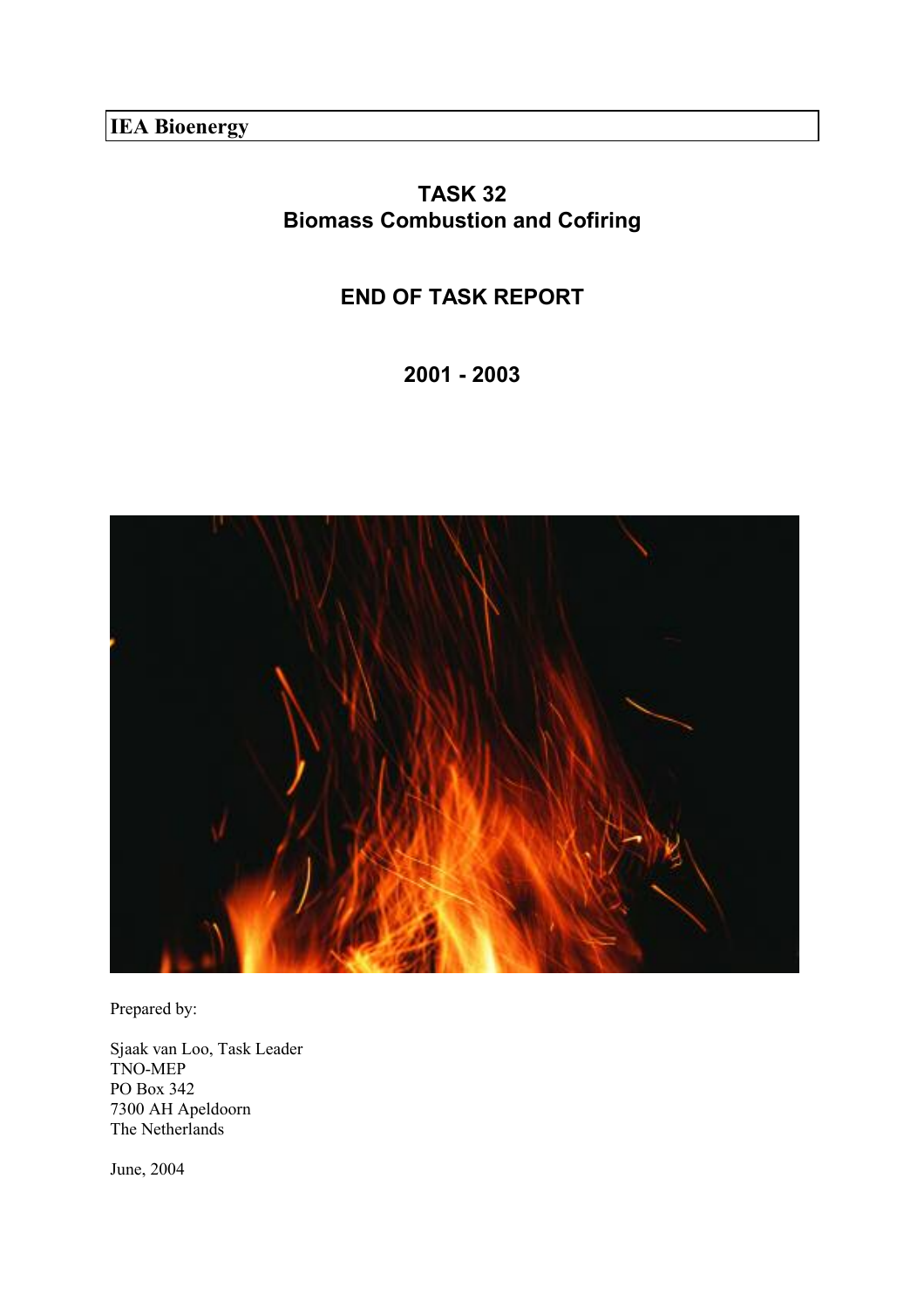**IEA Bioenergy**

# **TASK 32 Biomass Combustion and Cofiring**

# **END OF TASK REPORT**

**2001 - 2003** 



Prepared by:

Sjaak van Loo, Task Leader TNO-MEP PO Box 342 7300 AH Apeldoorn The Netherlands

June, 2004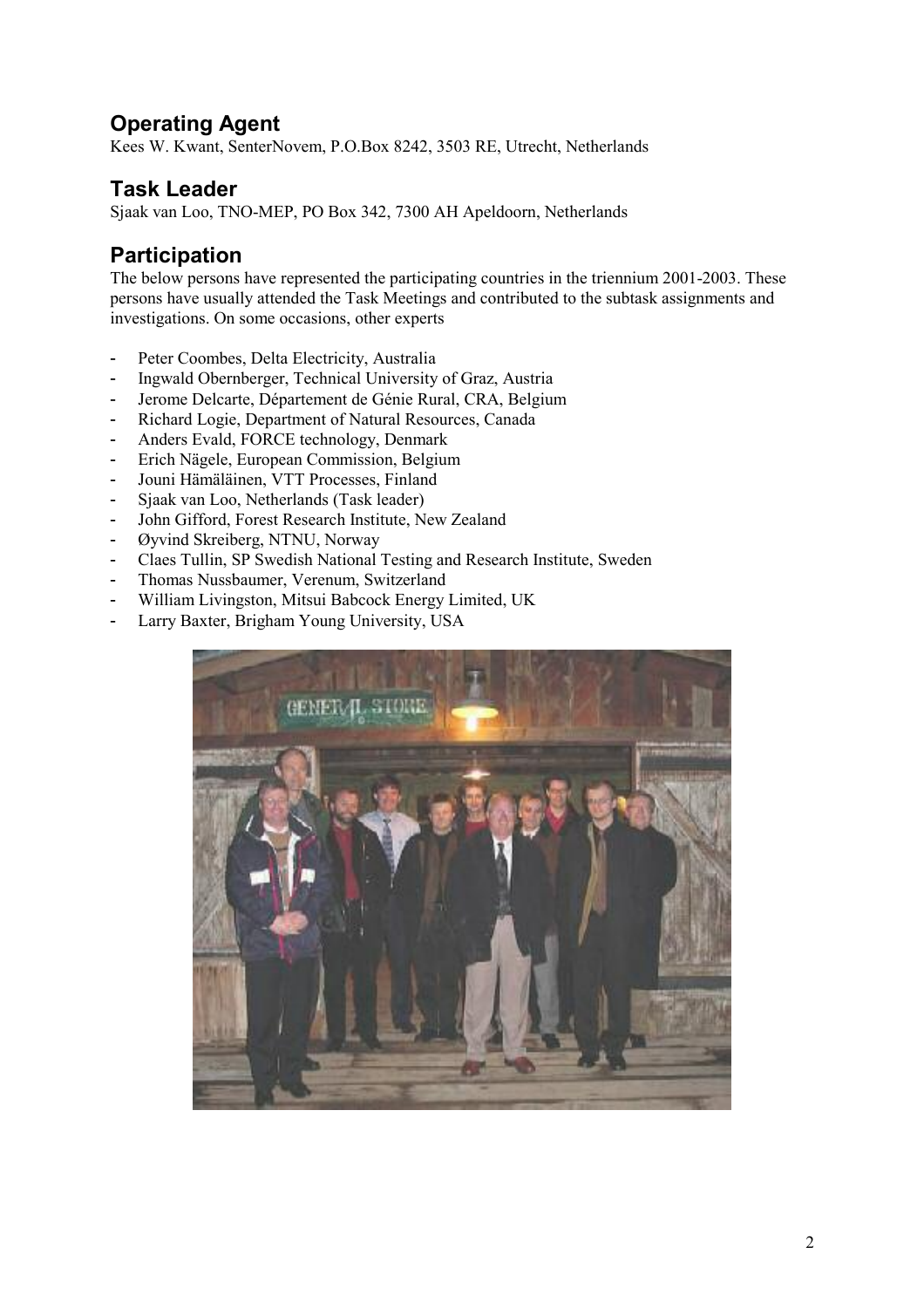# **Operating Agent**

Kees W. Kwant, SenterNovem, P.O.Box 8242, 3503 RE, Utrecht, Netherlands

## **Task Leader**

Sjaak van Loo, TNO-MEP, PO Box 342, 7300 AH Apeldoorn, Netherlands

## **Participation**

The below persons have represented the participating countries in the triennium 2001-2003. These persons have usually attended the Task Meetings and contributed to the subtask assignments and investigations. On some occasions, other experts

- Peter Coombes, Delta Electricity, Australia
- Ingwald Obernberger, Technical University of Graz, Austria
- Jerome Delcarte, Département de Génie Rural, CRA, Belgium
- Richard Logie, Department of Natural Resources, Canada
- Anders Evald, FORCE technology, Denmark
- Erich Nägele, European Commission, Belgium
- Jouni Hämäläinen, VTT Processes, Finland
- Sjaak van Loo, Netherlands (Task leader)
- John Gifford, Forest Research Institute, New Zealand
- Øyvind Skreiberg, NTNU, Norway
- Claes Tullin, SP Swedish National Testing and Research Institute, Sweden
- Thomas Nussbaumer, Verenum, Switzerland
- William Livingston, Mitsui Babcock Energy Limited, UK
- Larry Baxter, Brigham Young University, USA

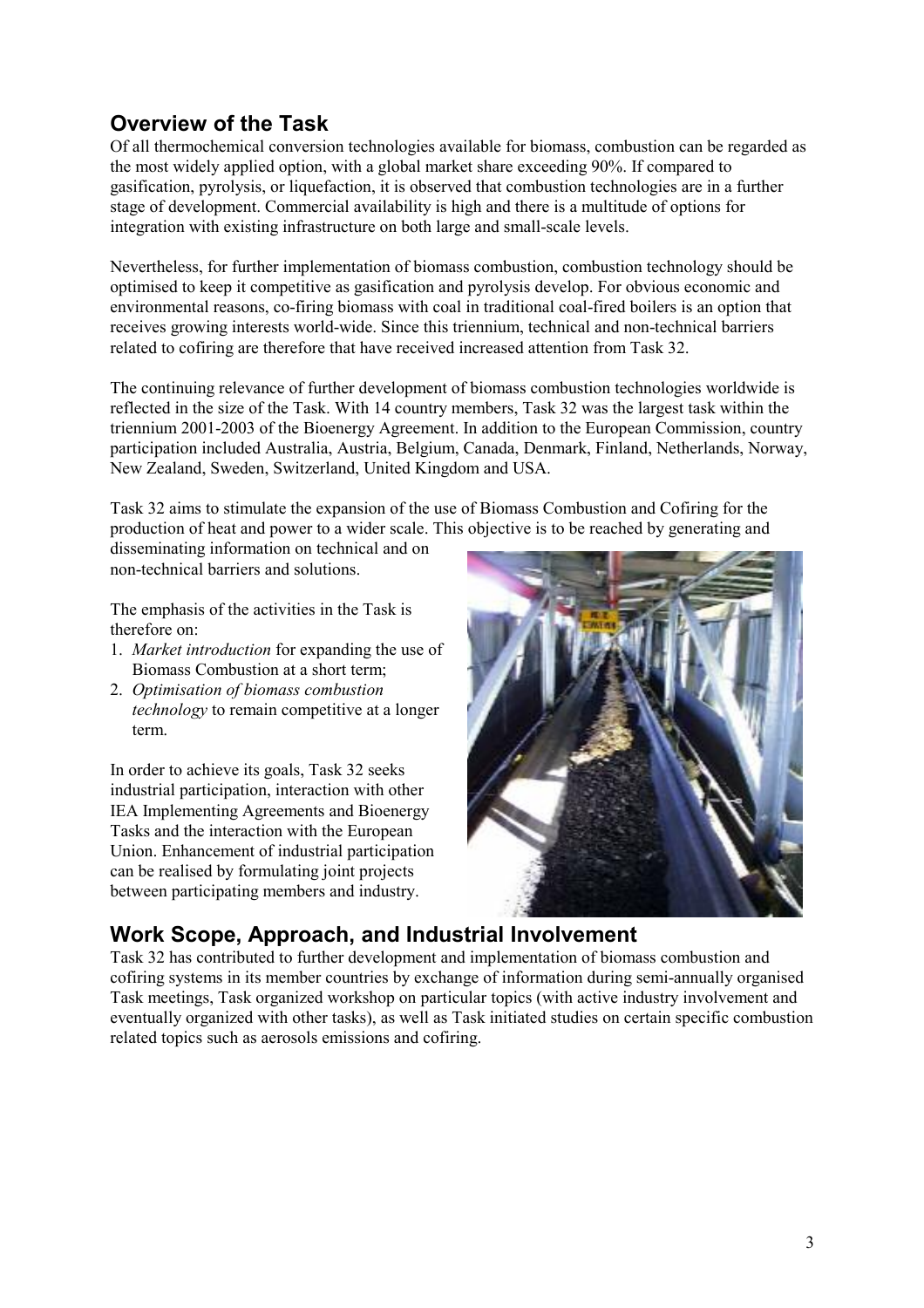# **Overview of the Task**

Of all thermochemical conversion technologies available for biomass, combustion can be regarded as the most widely applied option, with a global market share exceeding 90%. If compared to gasification, pyrolysis, or liquefaction, it is observed that combustion technologies are in a further stage of development. Commercial availability is high and there is a multitude of options for integration with existing infrastructure on both large and small-scale levels.

Nevertheless, for further implementation of biomass combustion, combustion technology should be optimised to keep it competitive as gasification and pyrolysis develop. For obvious economic and environmental reasons, co-firing biomass with coal in traditional coal-fired boilers is an option that receives growing interests world-wide. Since this triennium, technical and non-technical barriers related to cofiring are therefore that have received increased attention from Task 32.

The continuing relevance of further development of biomass combustion technologies worldwide is reflected in the size of the Task. With 14 country members, Task 32 was the largest task within the triennium 2001-2003 of the Bioenergy Agreement. In addition to the European Commission, country participation included Australia, Austria, Belgium, Canada, Denmark, Finland, Netherlands, Norway, New Zealand, Sweden, Switzerland, United Kingdom and USA.

Task 32 aims to stimulate the expansion of the use of Biomass Combustion and Cofiring for the production of heat and power to a wider scale. This objective is to be reached by generating and

disseminating information on technical and on non-technical barriers and solutions.

The emphasis of the activities in the Task is therefore on:

- 1. *Market introduction* for expanding the use of Biomass Combustion at a short term;
- 2. *Optimisation of biomass combustion technology* to remain competitive at a longer term.

In order to achieve its goals, Task 32 seeks industrial participation, interaction with other IEA Implementing Agreements and Bioenergy Tasks and the interaction with the European Union. Enhancement of industrial participation can be realised by formulating joint projects between participating members and industry.



# **Work Scope, Approach, and Industrial Involvement**

Task 32 has contributed to further development and implementation of biomass combustion and cofiring systems in its member countries by exchange of information during semi-annually organised Task meetings, Task organized workshop on particular topics (with active industry involvement and eventually organized with other tasks), as well as Task initiated studies on certain specific combustion related topics such as aerosols emissions and cofiring.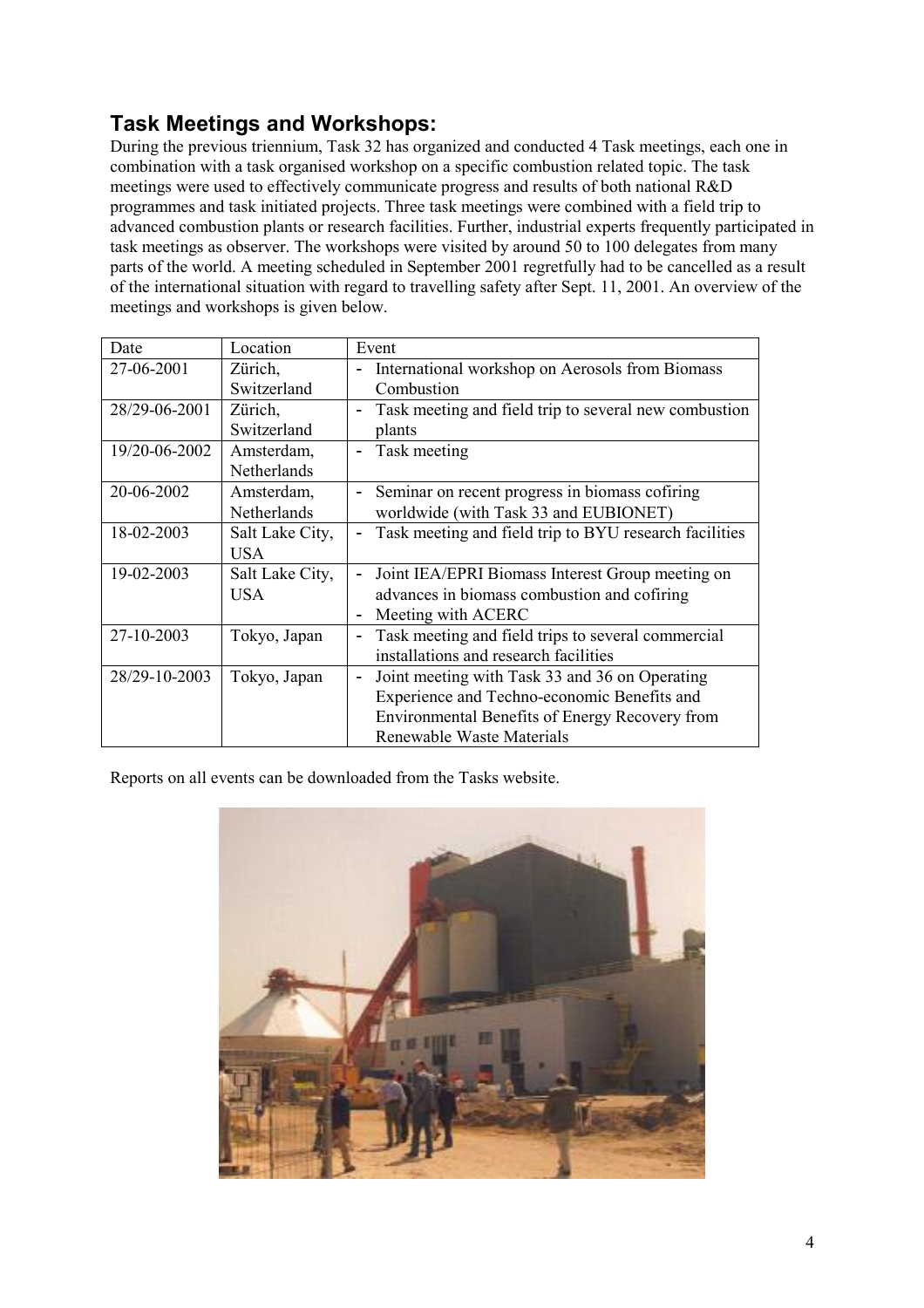# **Task Meetings and Workshops:**

During the previous triennium, Task 32 has organized and conducted 4 Task meetings, each one in combination with a task organised workshop on a specific combustion related topic. The task meetings were used to effectively communicate progress and results of both national R&D programmes and task initiated projects. Three task meetings were combined with a field trip to advanced combustion plants or research facilities. Further, industrial experts frequently participated in task meetings as observer. The workshops were visited by around 50 to 100 delegates from many parts of the world. A meeting scheduled in September 2001 regretfully had to be cancelled as a result of the international situation with regard to travelling safety after Sept. 11, 2001. An overview of the meetings and workshops is given below.

| Date          | Location        | Event                                                                             |  |  |  |  |  |  |
|---------------|-----------------|-----------------------------------------------------------------------------------|--|--|--|--|--|--|
| 27-06-2001    | Zürich,         | International workshop on Aerosols from Biomass<br>-                              |  |  |  |  |  |  |
|               | Switzerland     | Combustion                                                                        |  |  |  |  |  |  |
| 28/29-06-2001 | Zürich,         | Task meeting and field trip to several new combustion<br>$\overline{\phantom{0}}$ |  |  |  |  |  |  |
|               | Switzerland     | plants                                                                            |  |  |  |  |  |  |
| 19/20-06-2002 | Amsterdam,      | Task meeting<br>$\overline{\phantom{0}}$                                          |  |  |  |  |  |  |
|               | Netherlands     |                                                                                   |  |  |  |  |  |  |
| 20-06-2002    | Amsterdam,      | Seminar on recent progress in biomass cofiring<br>$\overline{\phantom{0}}$        |  |  |  |  |  |  |
|               | Netherlands     | worldwide (with Task 33 and EUBIONET)                                             |  |  |  |  |  |  |
| 18-02-2003    | Salt Lake City, | Task meeting and field trip to BYU research facilities                            |  |  |  |  |  |  |
|               | <b>USA</b>      |                                                                                   |  |  |  |  |  |  |
| 19-02-2003    | Salt Lake City, | Joint IEA/EPRI Biomass Interest Group meeting on<br>$\overline{\phantom{0}}$      |  |  |  |  |  |  |
|               | USA             | advances in biomass combustion and cofiring                                       |  |  |  |  |  |  |
|               |                 | Meeting with ACERC<br>-                                                           |  |  |  |  |  |  |
| 27-10-2003    | Tokyo, Japan    | Task meeting and field trips to several commercial<br>$\overline{\phantom{0}}$    |  |  |  |  |  |  |
|               |                 | installations and research facilities                                             |  |  |  |  |  |  |
| 28/29-10-2003 | Tokyo, Japan    | Joint meeting with Task 33 and 36 on Operating<br>$\overline{\phantom{0}}$        |  |  |  |  |  |  |
|               |                 | Experience and Techno-economic Benefits and                                       |  |  |  |  |  |  |
|               |                 | Environmental Benefits of Energy Recovery from                                    |  |  |  |  |  |  |
|               |                 | Renewable Waste Materials                                                         |  |  |  |  |  |  |

Reports on all events can be downloaded from the Tasks website.

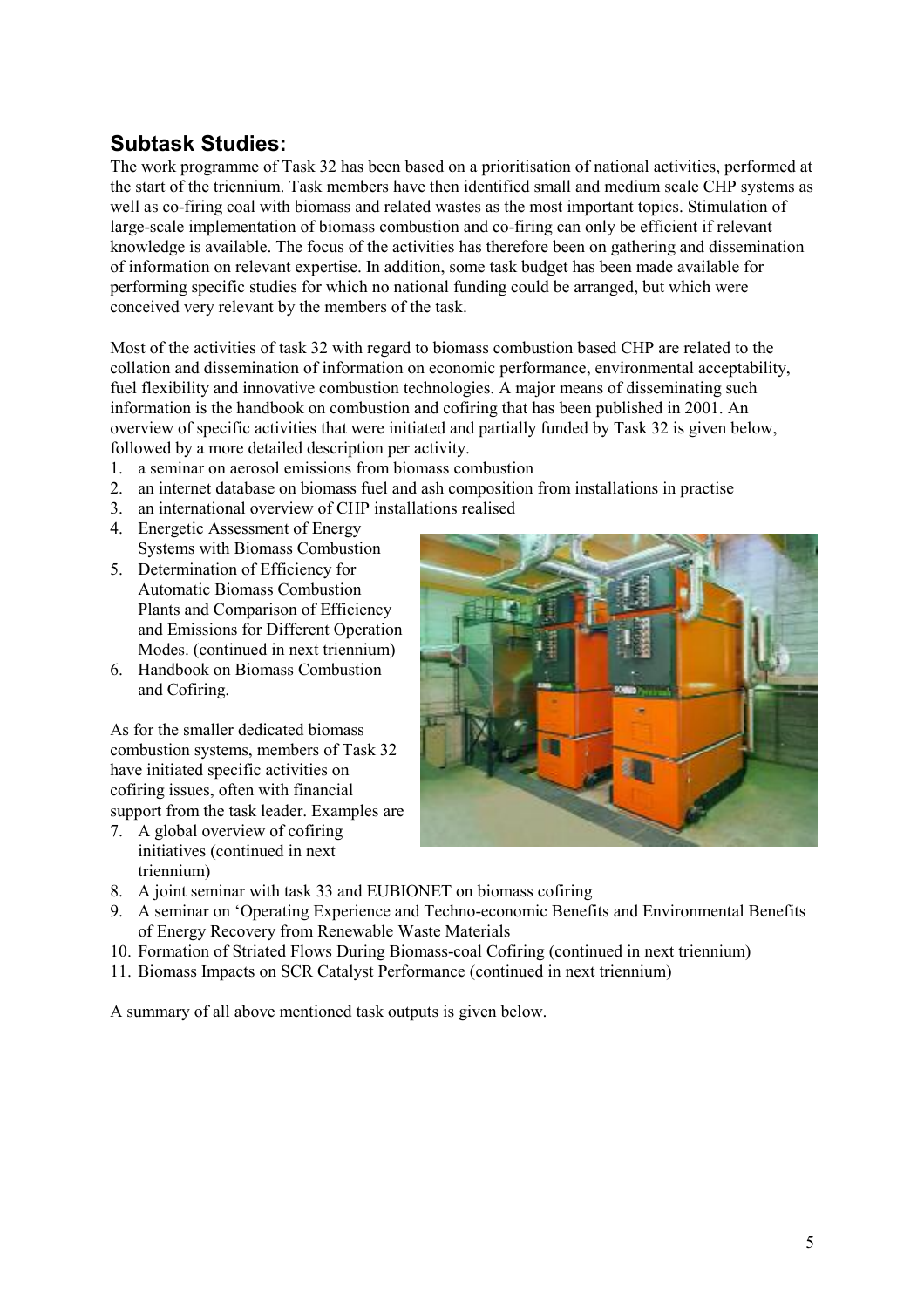# **Subtask Studies:**

The work programme of Task 32 has been based on a prioritisation of national activities, performed at the start of the triennium. Task members have then identified small and medium scale CHP systems as well as co-firing coal with biomass and related wastes as the most important topics. Stimulation of large-scale implementation of biomass combustion and co-firing can only be efficient if relevant knowledge is available. The focus of the activities has therefore been on gathering and dissemination of information on relevant expertise. In addition, some task budget has been made available for performing specific studies for which no national funding could be arranged, but which were conceived very relevant by the members of the task.

Most of the activities of task 32 with regard to biomass combustion based CHP are related to the collation and dissemination of information on economic performance, environmental acceptability, fuel flexibility and innovative combustion technologies. A major means of disseminating such information is the handbook on combustion and cofiring that has been published in 2001. An overview of specific activities that were initiated and partially funded by Task 32 is given below, followed by a more detailed description per activity.

- 1. a seminar on aerosol emissions from biomass combustion
- 2. an internet database on biomass fuel and ash composition from installations in practise
- 3. an international overview of CHP installations realised
- 4. Energetic Assessment of Energy Systems with Biomass Combustion
- 5. Determination of Efficiency for Automatic Biomass Combustion Plants and Comparison of Efficiency and Emissions for Different Operation Modes. (continued in next triennium)
- 6. Handbook on Biomass Combustion and Cofiring.

As for the smaller dedicated biomass combustion systems, members of Task 32 have initiated specific activities on cofiring issues, often with financial support from the task leader. Examples are

7. A global overview of cofiring initiatives (continued in next triennium)



- 8. A joint seminar with task 33 and EUBIONET on biomass cofiring
- 9. A seminar on 'Operating Experience and Techno-economic Benefits and Environmental Benefits of Energy Recovery from Renewable Waste Materials
- 10. Formation of Striated Flows During Biomass-coal Cofiring (continued in next triennium)
- 11. Biomass Impacts on SCR Catalyst Performance (continued in next triennium)

A summary of all above mentioned task outputs is given below.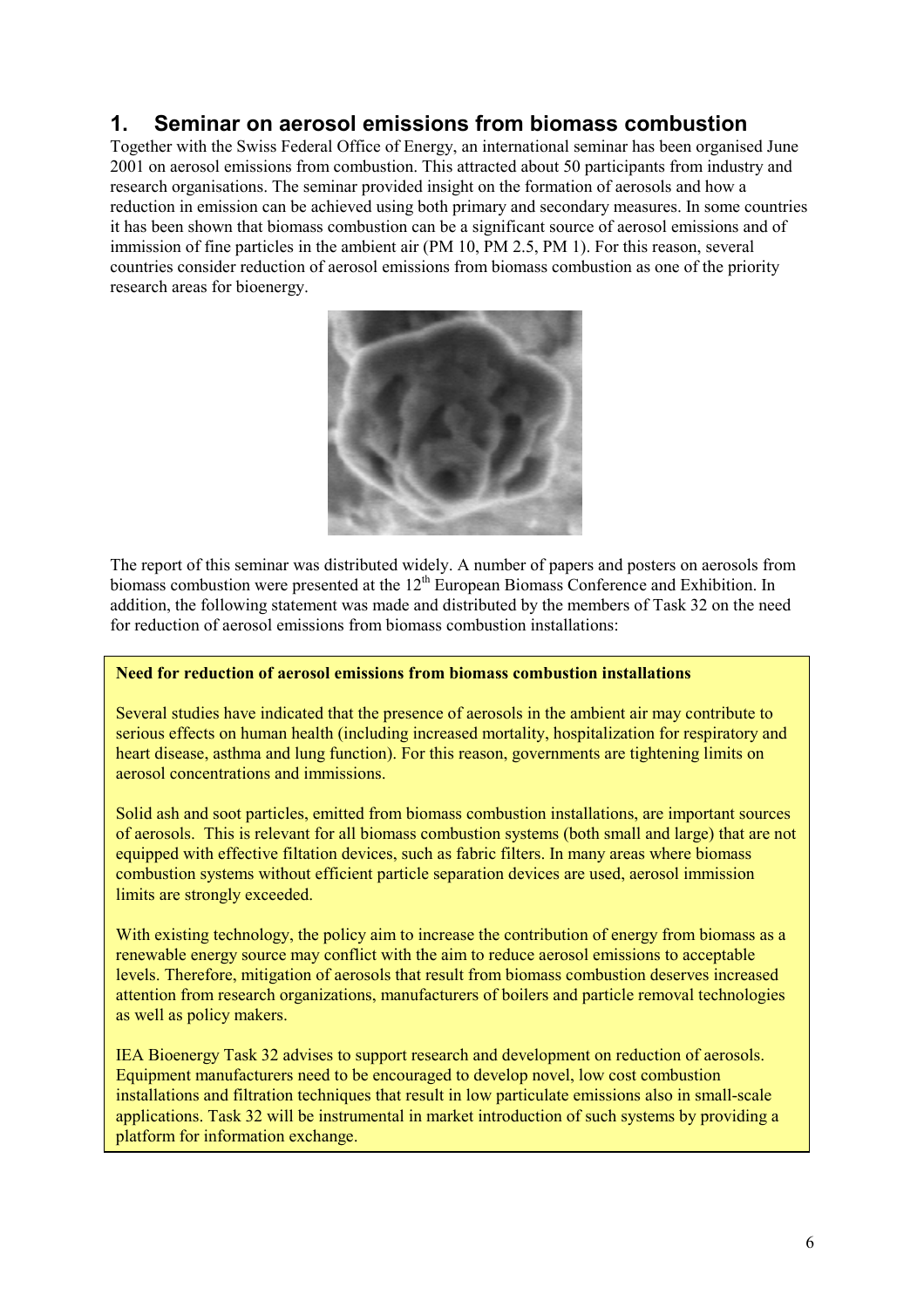## **1. Seminar on aerosol emissions from biomass combustion**

Together with the Swiss Federal Office of Energy, an international seminar has been organised June 2001 on aerosol emissions from combustion. This attracted about 50 participants from industry and research organisations. The seminar provided insight on the formation of aerosols and how a reduction in emission can be achieved using both primary and secondary measures. In some countries it has been shown that biomass combustion can be a significant source of aerosol emissions and of immission of fine particles in the ambient air (PM 10, PM 2.5, PM 1). For this reason, several countries consider reduction of aerosol emissions from biomass combustion as one of the priority research areas for bioenergy.



The report of this seminar was distributed widely. A number of papers and posters on aerosols from biomass combustion were presented at the  $12<sup>th</sup>$  European Biomass Conference and Exhibition. In addition, the following statement was made and distributed by the members of Task 32 on the need for reduction of aerosol emissions from biomass combustion installations:

#### **Need for reduction of aerosol emissions from biomass combustion installations**

Several studies have indicated that the presence of aerosols in the ambient air may contribute to serious effects on human health (including increased mortality, hospitalization for respiratory and heart disease, asthma and lung function). For this reason, governments are tightening limits on aerosol concentrations and immissions.

Solid ash and soot particles, emitted from biomass combustion installations, are important sources of aerosols. This is relevant for all biomass combustion systems (both small and large) that are not equipped with effective filtation devices, such as fabric filters. In many areas where biomass combustion systems without efficient particle separation devices are used, aerosol immission limits are strongly exceeded.

With existing technology, the policy aim to increase the contribution of energy from biomass as a renewable energy source may conflict with the aim to reduce aerosol emissions to acceptable levels. Therefore, mitigation of aerosols that result from biomass combustion deserves increased attention from research organizations, manufacturers of boilers and particle removal technologies as well as policy makers.

IEA Bioenergy Task 32 advises to support research and development on reduction of aerosols. Equipment manufacturers need to be encouraged to develop novel, low cost combustion installations and filtration techniques that result in low particulate emissions also in small-scale applications. Task 32 will be instrumental in market introduction of such systems by providing a platform for information exchange.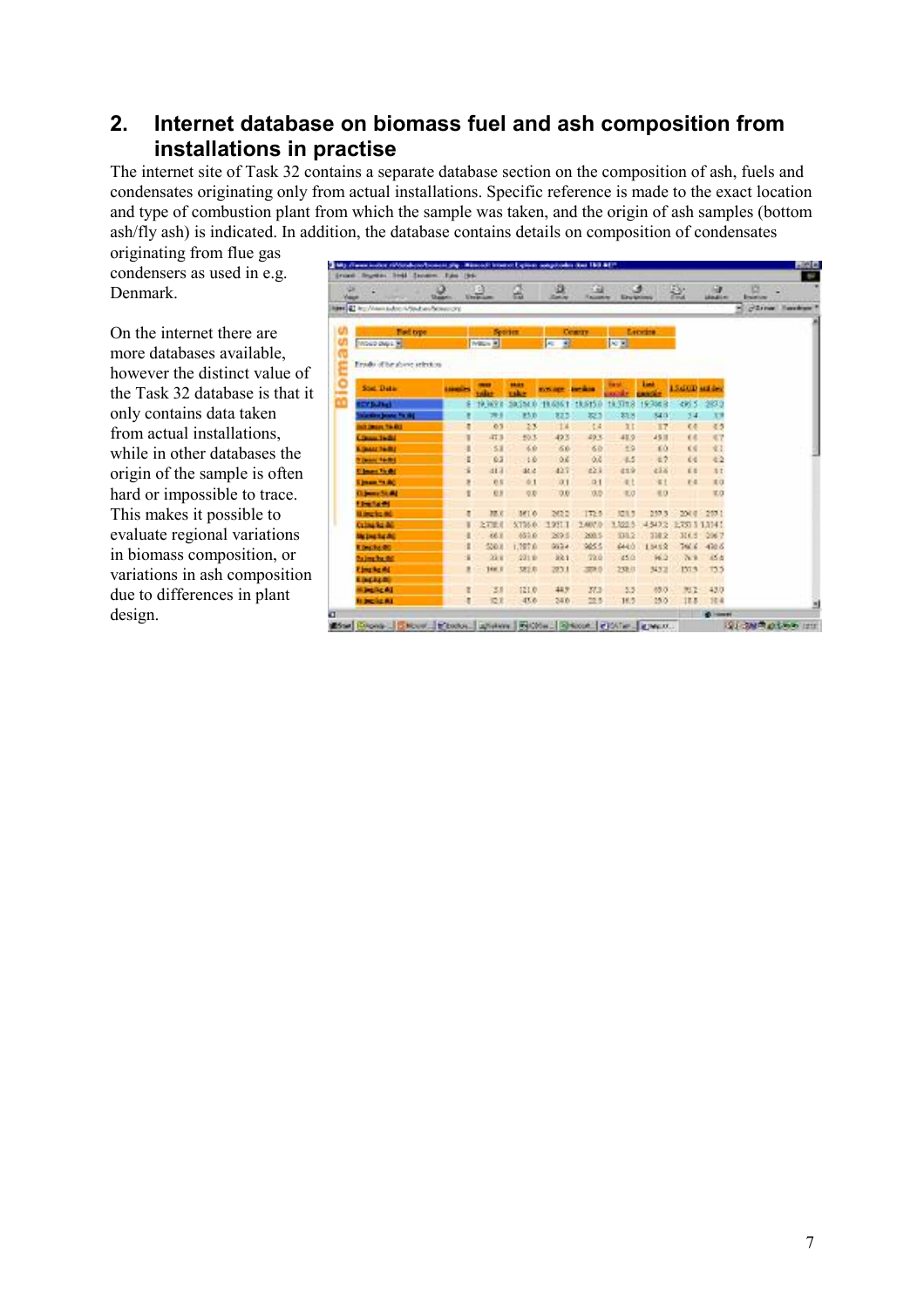## **2. Internet database on biomass fuel and ash composition from installations in practise**

The internet site of Task 32 contains a separate database section on the composition of ash, fuels and condensates originating only from actual installations. Specific reference is made to the exact location and type of combustion plant from which the sample was taken, and the origin of ash samples (bottom ash/fly ash) is indicated. In addition, the database contains details on composition of condensates

originating from flue gas condensers as used in e.g. Denmark.

On the internet there are more databases available, however the distinct value of the Task 32 database is that it only contains data taken from actual installations, while in other databases the origin of the sample is often hard or impossible to trace. This makes it possible to evaluate regional variations in biomass composition, or variations in ash composition due to differences in plant design.

|                                 |                  | $\Delta$       |                 | a                        | K Ga                          |                     | ು           |             | li i             | 西                     |
|---------------------------------|------------------|----------------|-----------------|--------------------------|-------------------------------|---------------------|-------------|-------------|------------------|-----------------------|
| Yapp                            | <b>Disparent</b> | <b>United</b>  | ш               | <b>Continent</b>         | <b><i><u>RAGANIAN</u></i></b> | <b>King Antonio</b> |             | 盐           | <b>MARINE</b>    | <b>Brainfield</b>     |
| http://www.bdcc/vSpd.educe.com  |                  |                |                 |                          |                               |                     |             |             |                  | -Street Receiver<br>u |
|                                 |                  |                |                 |                          |                               |                     |             |             |                  |                       |
| Fied type                       |                  |                | <b>Springs</b>  |                          | Country                       |                     | Leceire     |             |                  |                       |
| MOUD DAVIS                      |                  | William MI     |                 | B.<br><b>Inc.</b>        |                               | <b>STATE</b>        |             |             |                  |                       |
| Erndu of he above selection     |                  |                |                 |                          |                               |                     |             |             |                  |                       |
|                                 |                  |                |                 |                          |                               |                     |             |             |                  |                       |
| Stat. Data:                     | <b>LEEKEES</b>   | <b>usilian</b> | 19.41<br>mke    | <b>WAYNER CONTROLLER</b> |                               | <b>Farnul</b>       | <b>Lond</b> | 15d00 under |                  |                       |
| <b>CYBulber</b>                 |                  | 19,999.8       | <b>Sa She D</b> |                          |                               | 14.3788             | 19,706.8    | 485.5       | 1,987.9          |                       |
| <b>Caroline Search For High</b> |                  | 79             | ES D            | 823                      | 823                           | \$1.5               | \$4.0       | 34          | X                |                       |
| <b>URAY HARD</b>                | t                | 03             | 23              | T4                       | 14.4                          | 3T                  | 17          | <b>K4</b>   | 45               |                       |
| Church 14th                     | ۱                | 47.3           | 50.3            | 493                      | 49.3                          | 419                 | 45 11       | 王老          | K?               |                       |
| <b>EDMONTO RD</b>               |                  | 58             | 36              | 66                       | 60                            | 59                  | EÒ.         | 天安          | 业主               |                       |
| <b>EDMAN 14-801</b>             | t                | 63             | $10 - 10$       | 0.6                      | O.C                           | 4.5                 | 4.7         | 66          | 42               |                       |
| <b>Clear field</b>              |                  | 41.1           | 起边              | 427                      | 221                           | 419                 | 43.6        | 前面          | 17               |                       |
| <b>Simon for AC</b>             | ٠                | 市耳             | 61              | 0.1                      | 01                            | 4t                  | <b>st</b>   | $E - E$     | 常位               |                       |
| <b>Gipmento At</b>              |                  | 取进             | 収取              | 0.0                      | 73.73                         | 1.0                 | 8.0         |             | EO               |                       |
| <b>Flow Sunds</b>               |                  |                |                 |                          |                               |                     |             |             |                  |                       |
| <b>U.McV.c.M.</b>               | π                | 72.0           | 381.0           | 262.2                    | 172.5                         | 125.5               | 257.5       | 204.0       | 257.1            |                       |
| <b>Crimida AC</b>               |                  | 2,736.0        | 5,756.0.        | 19911                    | 2,407.0                       | 1,023               | 45472       |             | 2737 1 1 1 1 4 1 |                       |
| <b>McDigital AC</b>             |                  | 46.8           | 651.6           | 2016                     | 200.5                         | 338.2               | 338.2       | 314.8       | 2067             |                       |
| <b>Election</b>                 | t                | 550.8          | 1,787.6         | 9634                     | 9855                          | 644.0               | 1.541.2     | 746.6       | $-420.6$         |                       |
| <b>Balmahadd</b>                | s                | 公文             | 2210            | 321                      | 22.0                          | 45.0                | 962         | 76.8        | 45.4             |                       |
| <b>Eingkeite</b>                | R.               | 166.8          | 開日              | 2011                     | 300.0                         | 208.0               | 34328       | 157.5       | 135              |                       |
| <b>EDICATOR</b>                 |                  |                |                 |                          |                               |                     |             |             |                  |                       |
| <b>Kanadia</b>                  | Ε                | 31             | 121.0           | 443                      | 37.3                          | 5.5                 | 88.0        | 312         | 43.0             |                       |
| <b>In broke At</b>              | ŧ                | 设定             | 43.6            | 34.6                     | 23.5                          | 16.5                | 150         | 18.8        | 704              |                       |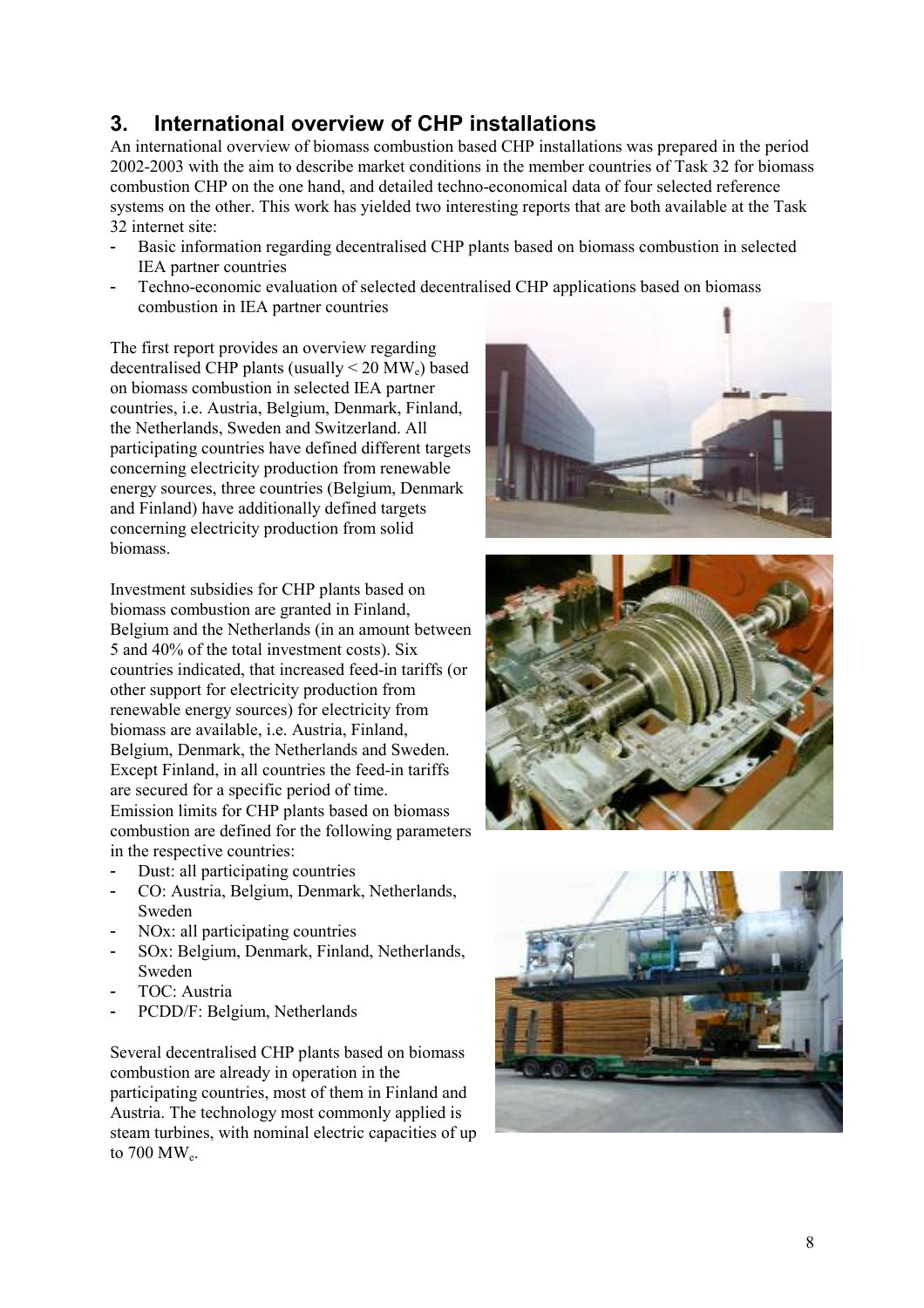# **3. International overview of CHP installations**

An international overview of biomass combustion based CHP installations was prepared in the period 2002-2003 with the aim to describe market conditions in the member countries of Task 32 for biomass combustion CHP on the one hand, and detailed techno-economical data of four selected reference systems on the other. This work has yielded two interesting reports that are both available at the Task 32 internet site:

- Basic information regarding decentralised CHP plants based on biomass combustion in selected IEA partner countries
- Techno-economic evaluation of selected decentralised CHP applications based on biomass combustion in IEA partner countries

The first report provides an overview regarding decentralised CHP plants (usually  $\leq$  20 MW<sub>e</sub>) based on biomass combustion in selected IEA partner countries, i.e. Austria, Belgium, Denmark, Finland, the Netherlands, Sweden and Switzerland. All participating countries have defined different targets concerning electricity production from renewable energy sources, three countries (Belgium, Denmark and Finland) have additionally defined targets concerning electricity production from solid biomass.

Investment subsidies for CHP plants based on biomass combustion are granted in Finland, Belgium and the Netherlands (in an amount between 5 and 40% of the total investment costs). Six countries indicated, that increased feed-in tariffs (or other support for electricity production from renewable energy sources) for electricity from biomass are available, i.e. Austria, Finland, Belgium, Denmark, the Netherlands and Sweden. Except Finland, in all countries the feed-in tariffs are secured for a specific period of time. Emission limits for CHP plants based on biomass combustion are defined for the following parameters in the respective countries:

- Dust: all participating countries
- CO: Austria, Belgium, Denmark, Netherlands, Sweden
- NO<sub>x</sub>: all participating countries
- SOx: Belgium, Denmark, Finland, Netherlands, Sweden
- TOC: Austria
- PCDD/F: Belgium, Netherlands

Several decentralised CHP plants based on biomass combustion are already in operation in the participating countries, most of them in Finland and Austria. The technology most commonly applied is steam turbines, with nominal electric capacities of up to 700 MWe.





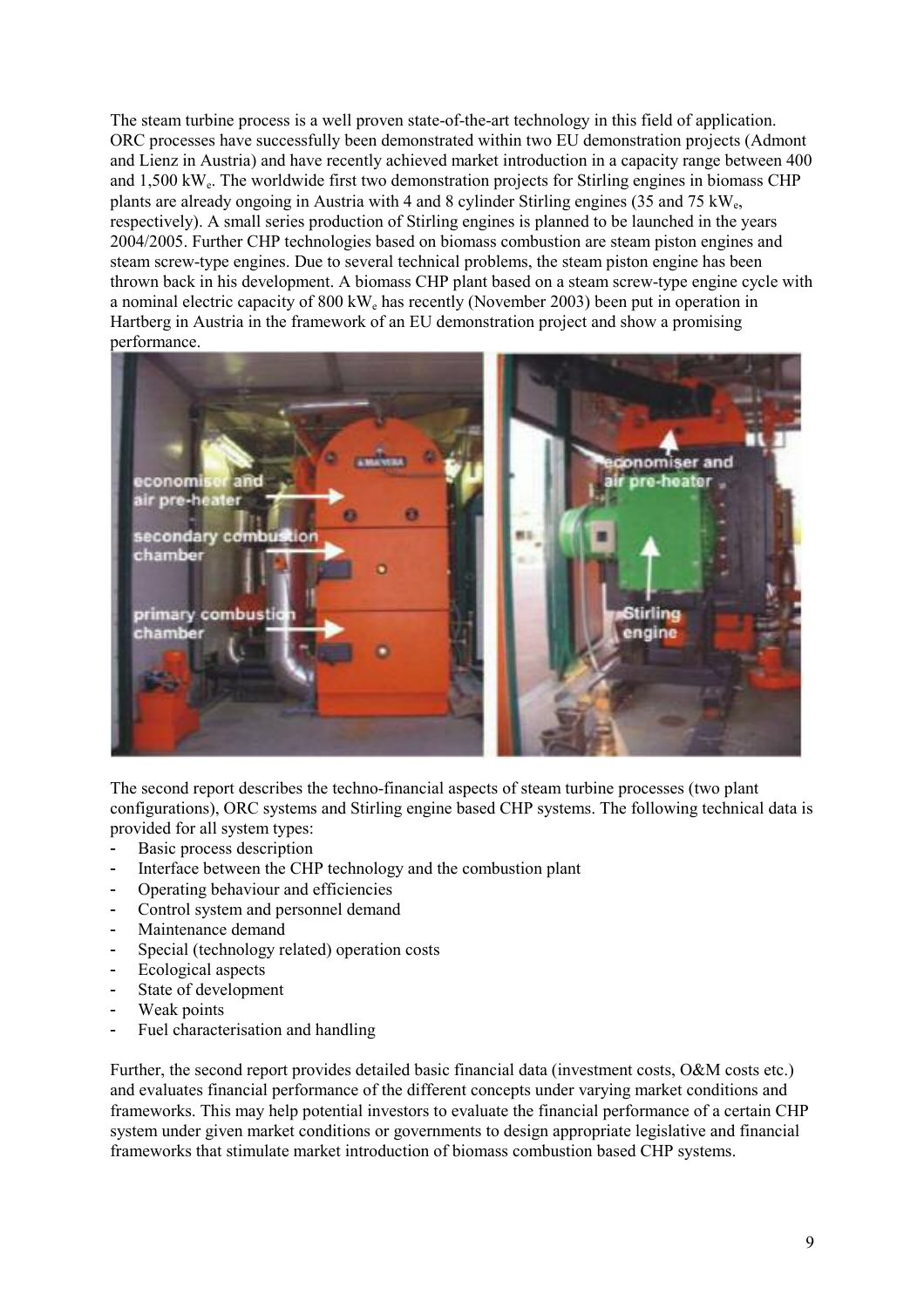The steam turbine process is a well proven state-of-the-art technology in this field of application. ORC processes have successfully been demonstrated within two EU demonstration projects (Admont and Lienz in Austria) and have recently achieved market introduction in a capacity range between 400 and 1,500 kWe. The worldwide first two demonstration projects for Stirling engines in biomass CHP plants are already ongoing in Austria with 4 and 8 cylinder Stirling engines (35 and 75 kWe, respectively). A small series production of Stirling engines is planned to be launched in the years 2004/2005. Further CHP technologies based on biomass combustion are steam piston engines and steam screw-type engines. Due to several technical problems, the steam piston engine has been thrown back in his development. A biomass CHP plant based on a steam screw-type engine cycle with a nominal electric capacity of 800 kWe has recently (November 2003) been put in operation in Hartberg in Austria in the framework of an EU demonstration project and show a promising performance.



The second report describes the techno-financial aspects of steam turbine processes (two plant configurations), ORC systems and Stirling engine based CHP systems. The following technical data is provided for all system types:

- Basic process description
- Interface between the CHP technology and the combustion plant
- Operating behaviour and efficiencies
- Control system and personnel demand
- Maintenance demand
- Special (technology related) operation costs
- Ecological aspects
- State of development
- Weak points
- Fuel characterisation and handling

Further, the second report provides detailed basic financial data (investment costs, O&M costs etc.) and evaluates financial performance of the different concepts under varying market conditions and frameworks. This may help potential investors to evaluate the financial performance of a certain CHP system under given market conditions or governments to design appropriate legislative and financial frameworks that stimulate market introduction of biomass combustion based CHP systems.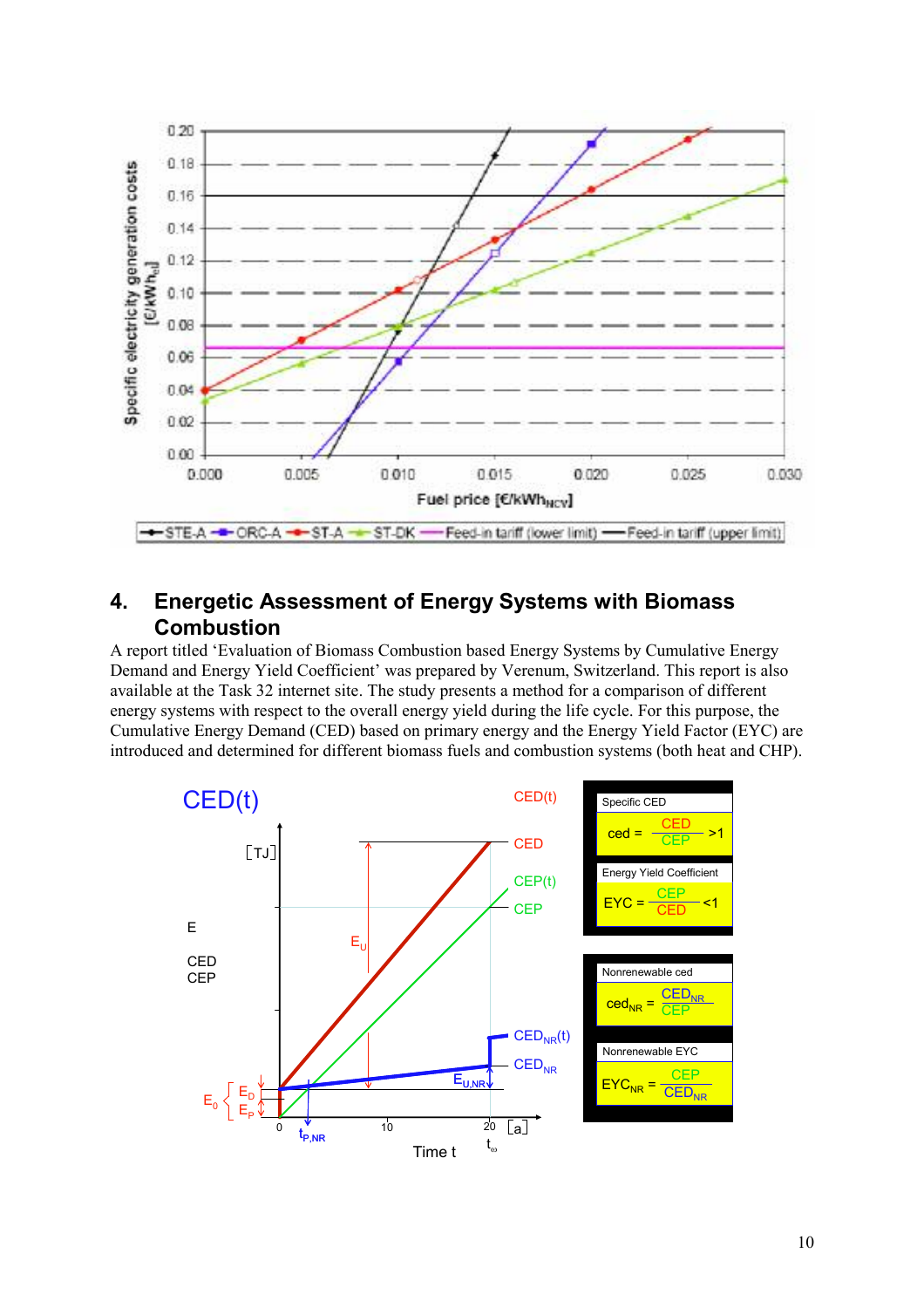

## **4. Energetic Assessment of Energy Systems with Biomass Combustion**

A report titled 'Evaluation of Biomass Combustion based Energy Systems by Cumulative Energy Demand and Energy Yield Coefficient' was prepared by Verenum, Switzerland. This report is also available at the Task 32 internet site. The study presents a method for a comparison of different energy systems with respect to the overall energy yield during the life cycle. For this purpose, the Cumulative Energy Demand (CED) based on primary energy and the Energy Yield Factor (EYC) are introduced and determined for different biomass fuels and combustion systems (both heat and CHP).

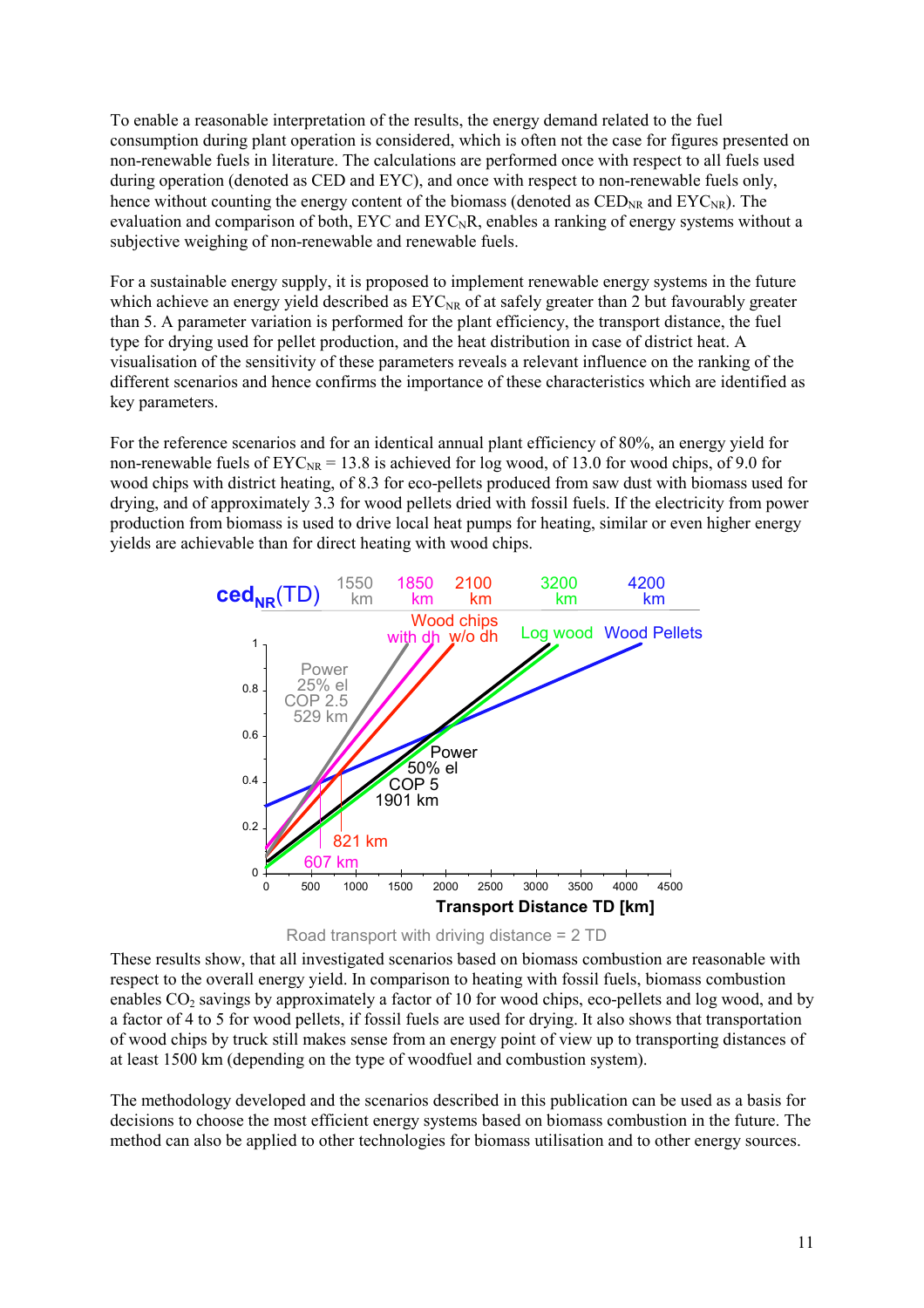To enable a reasonable interpretation of the results, the energy demand related to the fuel consumption during plant operation is considered, which is often not the case for figures presented on non-renewable fuels in literature. The calculations are performed once with respect to all fuels used during operation (denoted as CED and EYC), and once with respect to non-renewable fuels only, hence without counting the energy content of the biomass (denoted as  $\text{CED}_{NR}$  and  $\text{EYC}_{NR}$ ). The evaluation and comparison of both,  $EYC$  and  $EYC<sub>N</sub>R$ , enables a ranking of energy systems without a subjective weighing of non-renewable and renewable fuels.

For a sustainable energy supply, it is proposed to implement renewable energy systems in the future which achieve an energy yield described as  $EYC_{NR}$  of at safely greater than 2 but favourably greater than 5. A parameter variation is performed for the plant efficiency, the transport distance, the fuel type for drying used for pellet production, and the heat distribution in case of district heat. A visualisation of the sensitivity of these parameters reveals a relevant influence on the ranking of the different scenarios and hence confirms the importance of these characteristics which are identified as key parameters.

For the reference scenarios and for an identical annual plant efficiency of 80%, an energy yield for non-renewable fuels of  $EYC_{NR} = 13.8$  is achieved for log wood, of 13.0 for wood chips, of 9.0 for wood chips with district heating, of 8.3 for eco-pellets produced from saw dust with biomass used for drying, and of approximately 3.3 for wood pellets dried with fossil fuels. If the electricity from power production from biomass is used to drive local heat pumps for heating, similar or even higher energy yields are achievable than for direct heating with wood chips.





These results show, that all investigated scenarios based on biomass combustion are reasonable with respect to the overall energy yield. In comparison to heating with fossil fuels, biomass combustion enables  $CO_2$  savings by approximately a factor of 10 for wood chips, eco-pellets and log wood, and by a factor of 4 to 5 for wood pellets, if fossil fuels are used for drying. It also shows that transportation of wood chips by truck still makes sense from an energy point of view up to transporting distances of at least 1500 km (depending on the type of woodfuel and combustion system).

The methodology developed and the scenarios described in this publication can be used as a basis for decisions to choose the most efficient energy systems based on biomass combustion in the future. The method can also be applied to other technologies for biomass utilisation and to other energy sources.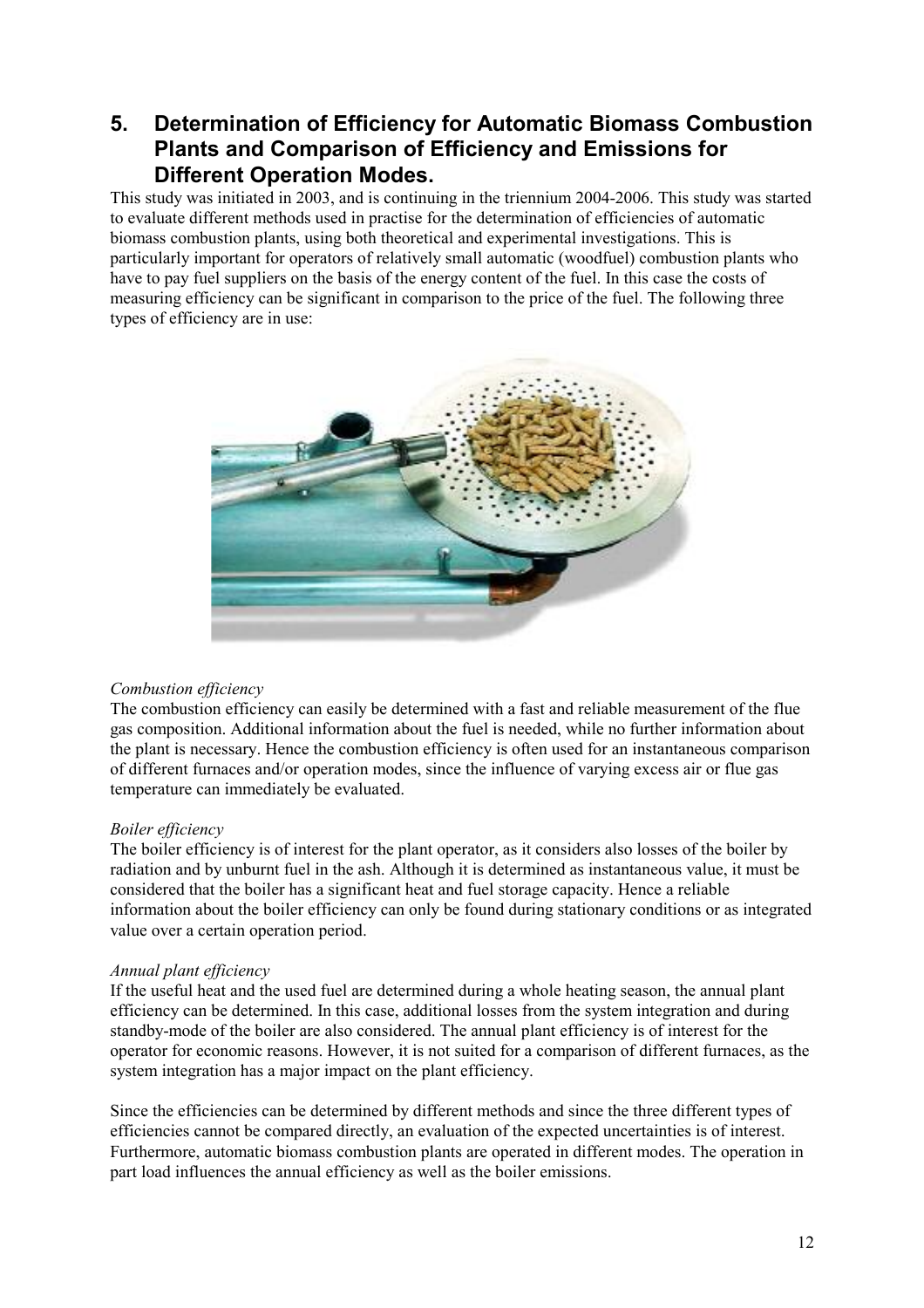## **5. Determination of Efficiency for Automatic Biomass Combustion Plants and Comparison of Efficiency and Emissions for Different Operation Modes.**

This study was initiated in 2003, and is continuing in the triennium 2004-2006. This study was started to evaluate different methods used in practise for the determination of efficiencies of automatic biomass combustion plants, using both theoretical and experimental investigations. This is particularly important for operators of relatively small automatic (woodfuel) combustion plants who have to pay fuel suppliers on the basis of the energy content of the fuel. In this case the costs of measuring efficiency can be significant in comparison to the price of the fuel. The following three types of efficiency are in use:



### *Combustion efficiency*

The combustion efficiency can easily be determined with a fast and reliable measurement of the flue gas composition. Additional information about the fuel is needed, while no further information about the plant is necessary. Hence the combustion efficiency is often used for an instantaneous comparison of different furnaces and/or operation modes, since the influence of varying excess air or flue gas temperature can immediately be evaluated.

### *Boiler efficiency*

The boiler efficiency is of interest for the plant operator, as it considers also losses of the boiler by radiation and by unburnt fuel in the ash. Although it is determined as instantaneous value, it must be considered that the boiler has a significant heat and fuel storage capacity. Hence a reliable information about the boiler efficiency can only be found during stationary conditions or as integrated value over a certain operation period.

### *Annual plant efficiency*

If the useful heat and the used fuel are determined during a whole heating season, the annual plant efficiency can be determined. In this case, additional losses from the system integration and during standby-mode of the boiler are also considered. The annual plant efficiency is of interest for the operator for economic reasons. However, it is not suited for a comparison of different furnaces, as the system integration has a major impact on the plant efficiency.

Since the efficiencies can be determined by different methods and since the three different types of efficiencies cannot be compared directly, an evaluation of the expected uncertainties is of interest. Furthermore, automatic biomass combustion plants are operated in different modes. The operation in part load influences the annual efficiency as well as the boiler emissions.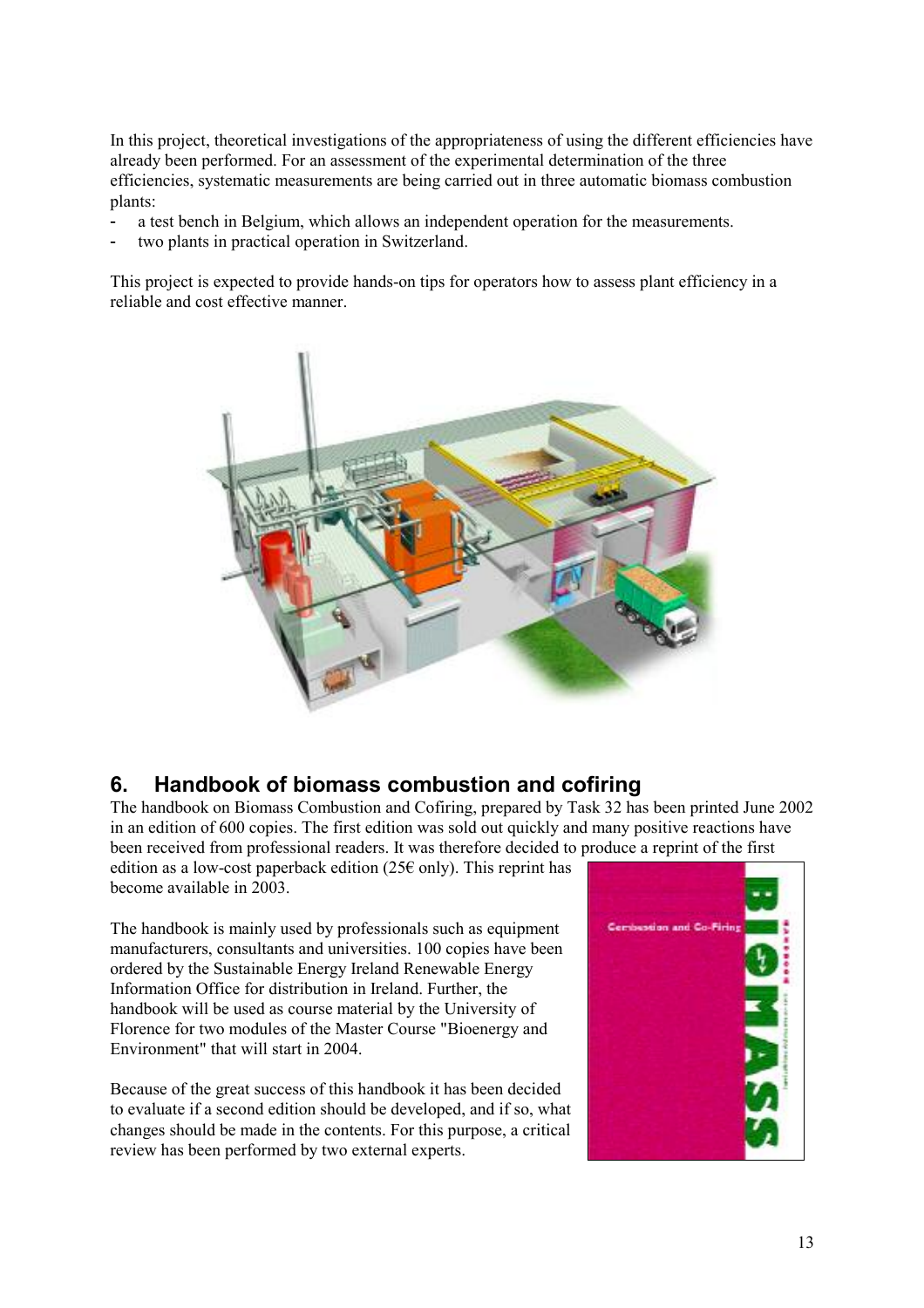In this project, theoretical investigations of the appropriateness of using the different efficiencies have already been performed. For an assessment of the experimental determination of the three efficiencies, systematic measurements are being carried out in three automatic biomass combustion plants:

- a test bench in Belgium, which allows an independent operation for the measurements.
- two plants in practical operation in Switzerland.

This project is expected to provide hands-on tips for operators how to assess plant efficiency in a reliable and cost effective manner.



## **6. Handbook of biomass combustion and cofiring**

The handbook on Biomass Combustion and Cofiring, prepared by Task 32 has been printed June 2002 in an edition of 600 copies. The first edition was sold out quickly and many positive reactions have been received from professional readers. It was therefore decided to produce a reprint of the first edition as a low-cost paperback edition (25 $\epsilon$  only). This reprint has

become available in 2003.

The handbook is mainly used by professionals such as equipment manufacturers, consultants and universities. 100 copies have been ordered by the Sustainable Energy Ireland Renewable Energy Information Office for distribution in Ireland. Further, the handbook will be used as course material by the University of Florence for two modules of the Master Course "Bioenergy and Environment" that will start in 2004.

Because of the great success of this handbook it has been decided to evaluate if a second edition should be developed, and if so, what changes should be made in the contents. For this purpose, a critical review has been performed by two external experts.

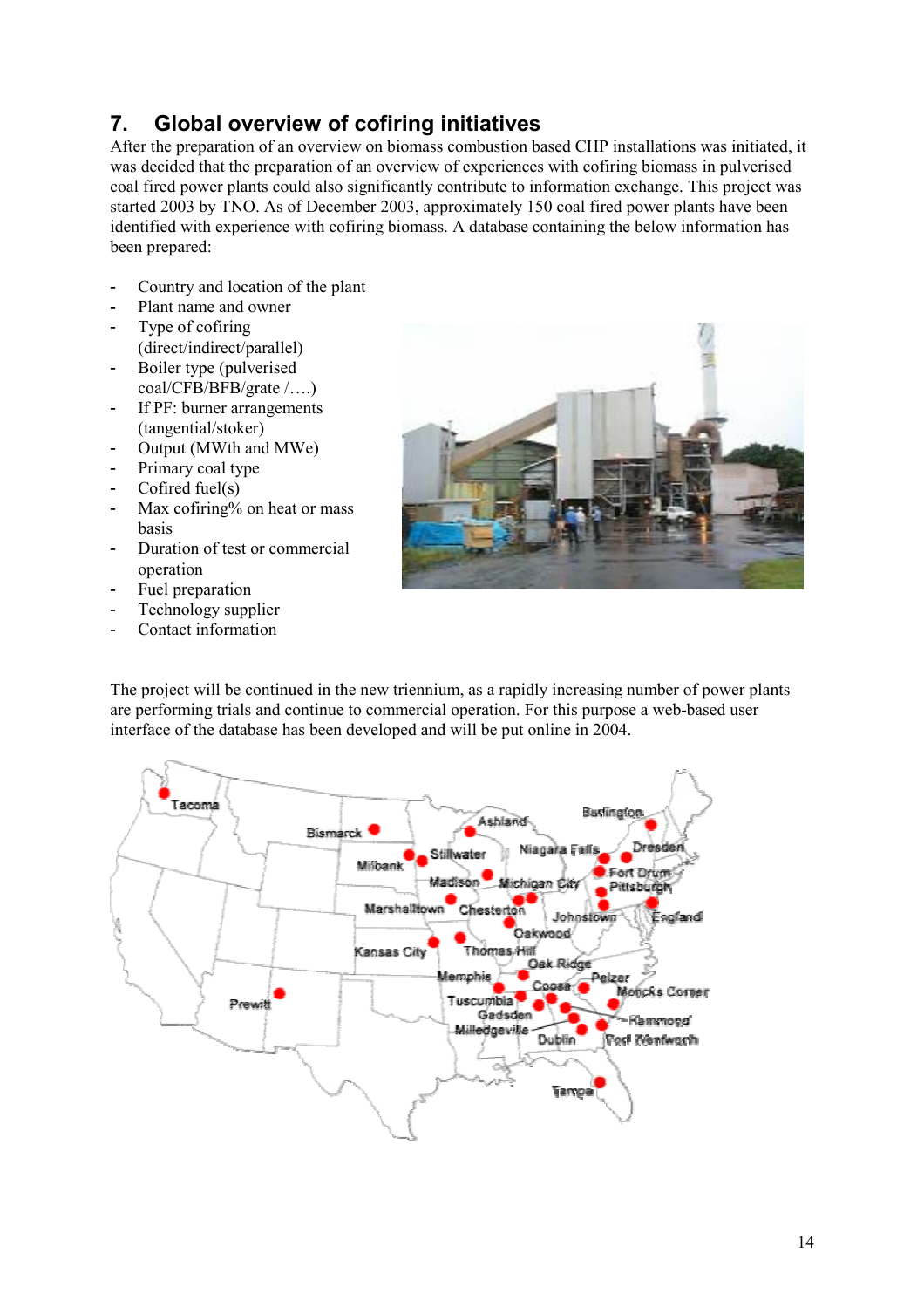### 14

# **7. Global overview of cofiring initiatives**

After the preparation of an overview on biomass combustion based CHP installations was initiated, it was decided that the preparation of an overview of experiences with cofiring biomass in pulverised coal fired power plants could also significantly contribute to information exchange. This project was started 2003 by TNO. As of December 2003, approximately 150 coal fired power plants have been identified with experience with cofiring biomass. A database containing the below information has been prepared:

- Country and location of the plant
- Plant name and owner
- Type of cofiring (direct/indirect/parallel)
- Boiler type (pulverised coal/CFB/BFB/grate /….)
- If PF: burner arrangements (tangential/stoker)
- Output (MWth and MWe)
- Primary coal type
- Cofired fuel $(s)$
- Max cofiring% on heat or mass basis
- Duration of test or commercial operation
- Fuel preparation
- Technology supplier
- Contact information

The project will be continued in the new triennium, as a rapidly increasing number of power plants are performing trials and continue to commercial operation. For this purpose a web-based user interface of the database has been developed and will be put online in 2004.

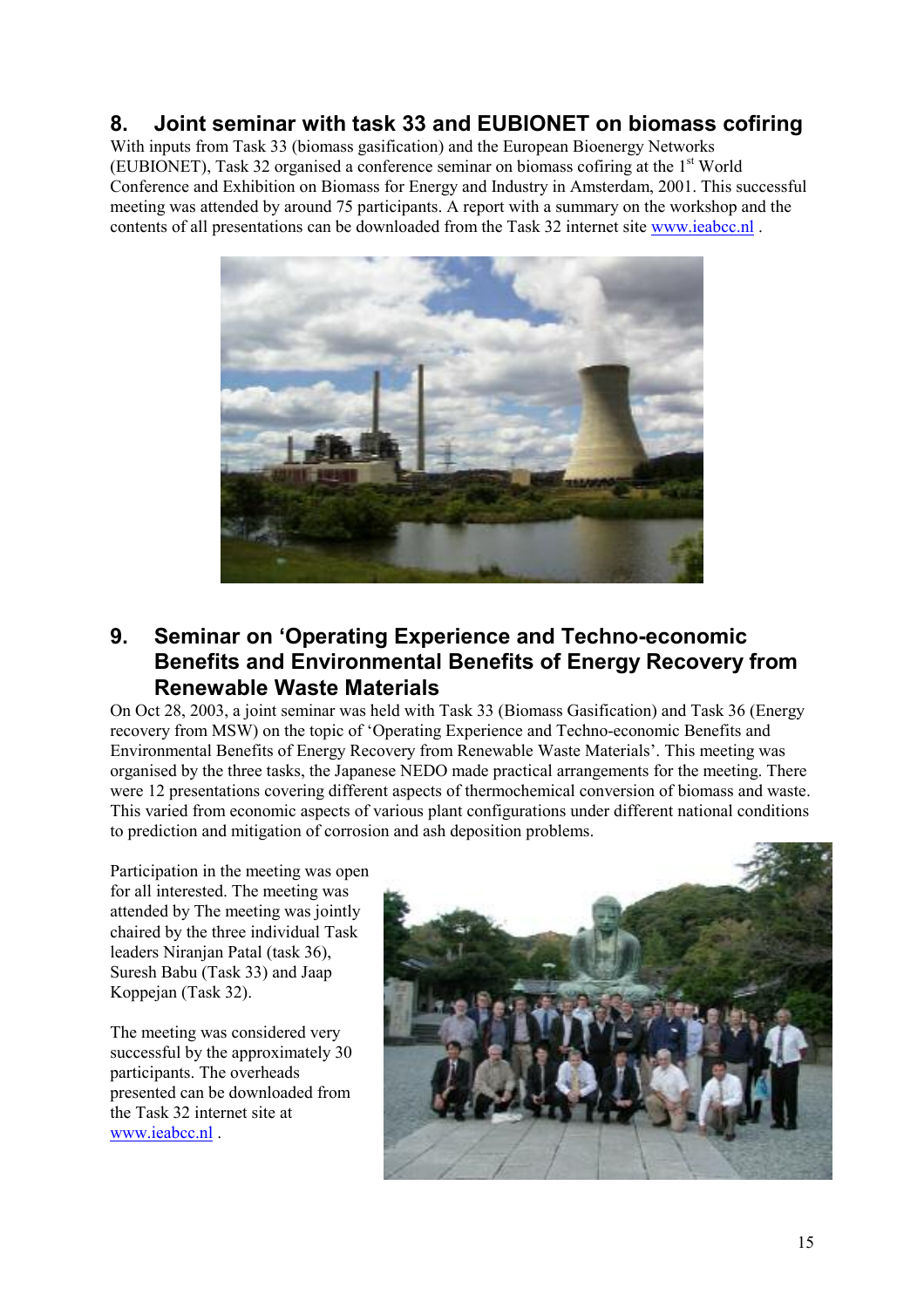## **8. Joint seminar with task 33 and EUBIONET on biomass cofiring**

With inputs from Task 33 (biomass gasification) and the European Bioenergy Networks (EUBIONET), Task 32 organised a conference seminar on biomass cofiring at the 1st World Conference and Exhibition on Biomass for Energy and Industry in Amsterdam, 2001. This successful meeting was attended by around 75 participants. A report with a summary on the workshop and the contents of all presentations can be downloaded from the Task 32 internet site [www.ieabcc.nl](http://www.ieabcc.nl/) .



## **9. Seminar on 'Operating Experience and Techno-economic Benefits and Environmental Benefits of Energy Recovery from Renewable Waste Materials**

On Oct 28, 2003, a joint seminar was held with Task 33 (Biomass Gasification) and Task 36 (Energy recovery from MSW) on the topic of 'Operating Experience and Techno-economic Benefits and Environmental Benefits of Energy Recovery from Renewable Waste Materials'. This meeting was organised by the three tasks, the Japanese NEDO made practical arrangements for the meeting. There were 12 presentations covering different aspects of thermochemical conversion of biomass and waste. This varied from economic aspects of various plant configurations under different national conditions to prediction and mitigation of corrosion and ash deposition problems.

Participation in the meeting was open for all interested. The meeting was attended by The meeting was jointly chaired by the three individual Task leaders Niranjan Patal (task 36), Suresh Babu (Task 33) and Jaap Koppejan (Task 32).

The meeting was considered very successful by the approximately 30 participants. The overheads presented can be downloaded from the Task 32 internet site at [www.ieabcc.nl](http://www.ieabcc.nl/) .

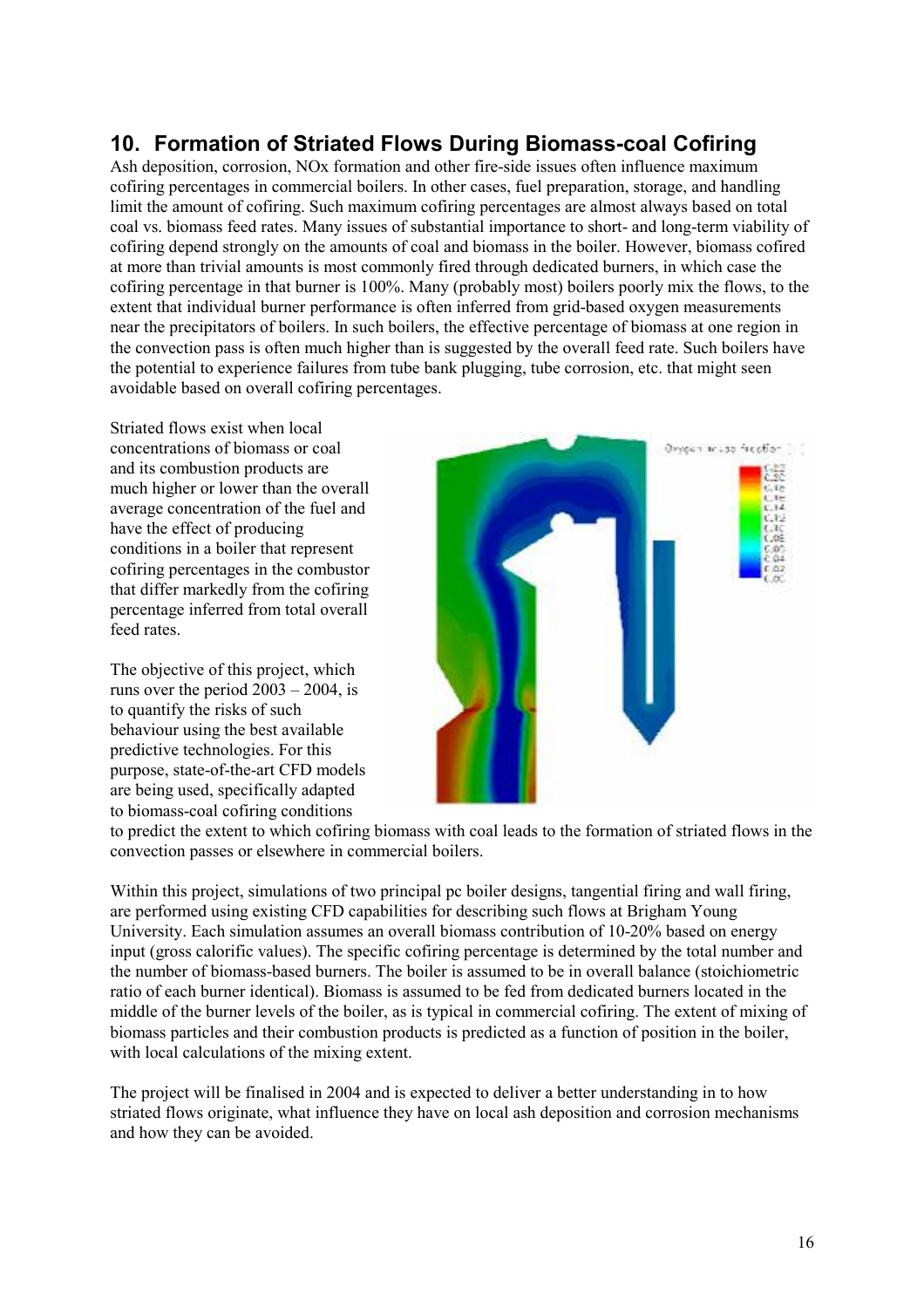## **10. Formation of Striated Flows During Biomass-coal Cofiring**

Ash deposition, corrosion, NOx formation and other fire-side issues often influence maximum cofiring percentages in commercial boilers. In other cases, fuel preparation, storage, and handling limit the amount of cofiring. Such maximum cofiring percentages are almost always based on total coal vs. biomass feed rates. Many issues of substantial importance to short- and long-term viability of cofiring depend strongly on the amounts of coal and biomass in the boiler. However, biomass cofired at more than trivial amounts is most commonly fired through dedicated burners, in which case the cofiring percentage in that burner is 100%. Many (probably most) boilers poorly mix the flows, to the extent that individual burner performance is often inferred from grid-based oxygen measurements near the precipitators of boilers. In such boilers, the effective percentage of biomass at one region in the convection pass is often much higher than is suggested by the overall feed rate. Such boilers have the potential to experience failures from tube bank plugging, tube corrosion, etc. that might seen avoidable based on overall cofiring percentages.

Striated flows exist when local concentrations of biomass or coal and its combustion products are much higher or lower than the overall average concentration of the fuel and have the effect of producing conditions in a boiler that represent cofiring percentages in the combustor that differ markedly from the cofiring percentage inferred from total overall feed rates

The objective of this project, which runs over the period  $2003 - 2004$ , is to quantify the risks of such behaviour using the best available predictive technologies. For this purpose, state-of-the-art CFD models are being used, specifically adapted to biomass-coal cofiring conditions



to predict the extent to which cofiring biomass with coal leads to the formation of striated flows in the convection passes or elsewhere in commercial boilers.

Within this project, simulations of two principal pc boiler designs, tangential firing and wall firing, are performed using existing CFD capabilities for describing such flows at Brigham Young University. Each simulation assumes an overall biomass contribution of 10-20% based on energy input (gross calorific values). The specific cofiring percentage is determined by the total number and the number of biomass-based burners. The boiler is assumed to be in overall balance (stoichiometric ratio of each burner identical). Biomass is assumed to be fed from dedicated burners located in the middle of the burner levels of the boiler, as is typical in commercial cofiring. The extent of mixing of biomass particles and their combustion products is predicted as a function of position in the boiler, with local calculations of the mixing extent.

The project will be finalised in 2004 and is expected to deliver a better understanding in to how striated flows originate, what influence they have on local ash deposition and corrosion mechanisms and how they can be avoided.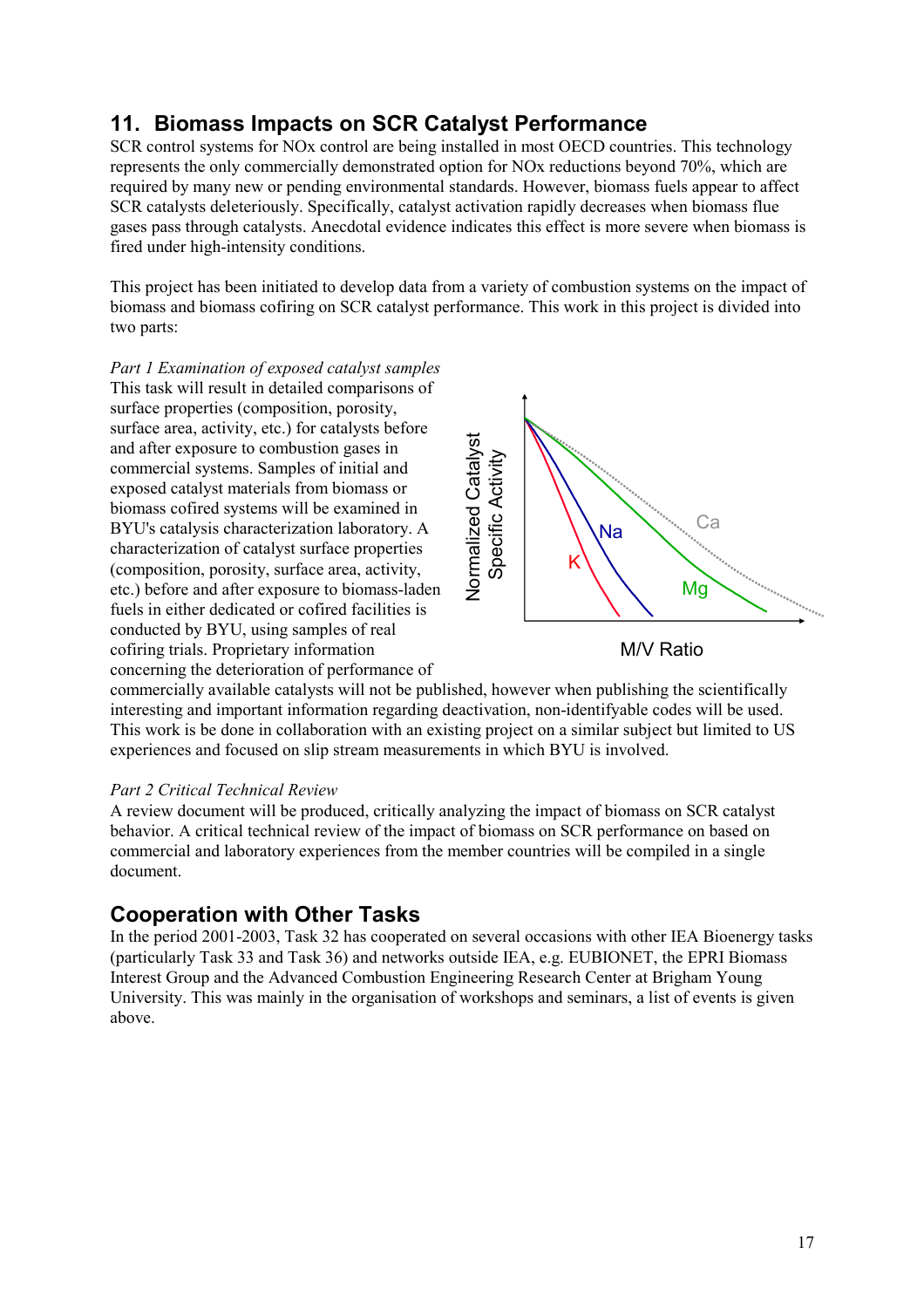# **11. Biomass Impacts on SCR Catalyst Performance**

SCR control systems for NOx control are being installed in most OECD countries. This technology represents the only commercially demonstrated option for NOx reductions beyond 70%, which are required by many new or pending environmental standards. However, biomass fuels appear to affect SCR catalysts deleteriously. Specifically, catalyst activation rapidly decreases when biomass flue gases pass through catalysts. Anecdotal evidence indicates this effect is more severe when biomass is fired under high-intensity conditions.

This project has been initiated to develop data from a variety of combustion systems on the impact of biomass and biomass cofiring on SCR catalyst performance. This work in this project is divided into two parts:

*Part 1 Examination of exposed catalyst samples*  This task will result in detailed comparisons of surface properties (composition, porosity, surface area, activity, etc.) for catalysts before and after exposure to combustion gases in commercial systems. Samples of initial and exposed catalyst materials from biomass or biomass cofired systems will be examined in BYU's catalysis characterization laboratory. A characterization of catalyst surface properties (composition, porosity, surface area, activity, etc.) before and after exposure to biomass-laden fuels in either dedicated or cofired facilities is conducted by BYU, using samples of real cofiring trials. Proprietary information concerning the deterioration of performance of





commercially available catalysts will not be published, however when publishing the scientifically interesting and important information regarding deactivation, non-identifyable codes will be used. This work is be done in collaboration with an existing project on a similar subject but limited to US experiences and focused on slip stream measurements in which BYU is involved.

### *Part 2 Critical Technical Review*

A review document will be produced, critically analyzing the impact of biomass on SCR catalyst behavior. A critical technical review of the impact of biomass on SCR performance on based on commercial and laboratory experiences from the member countries will be compiled in a single document.

## **Cooperation with Other Tasks**

In the period 2001-2003, Task 32 has cooperated on several occasions with other IEA Bioenergy tasks (particularly Task 33 and Task 36) and networks outside IEA, e.g. EUBIONET, the EPRI Biomass Interest Group and the Advanced Combustion Engineering Research Center at Brigham Young University. This was mainly in the organisation of workshops and seminars, a list of events is given above.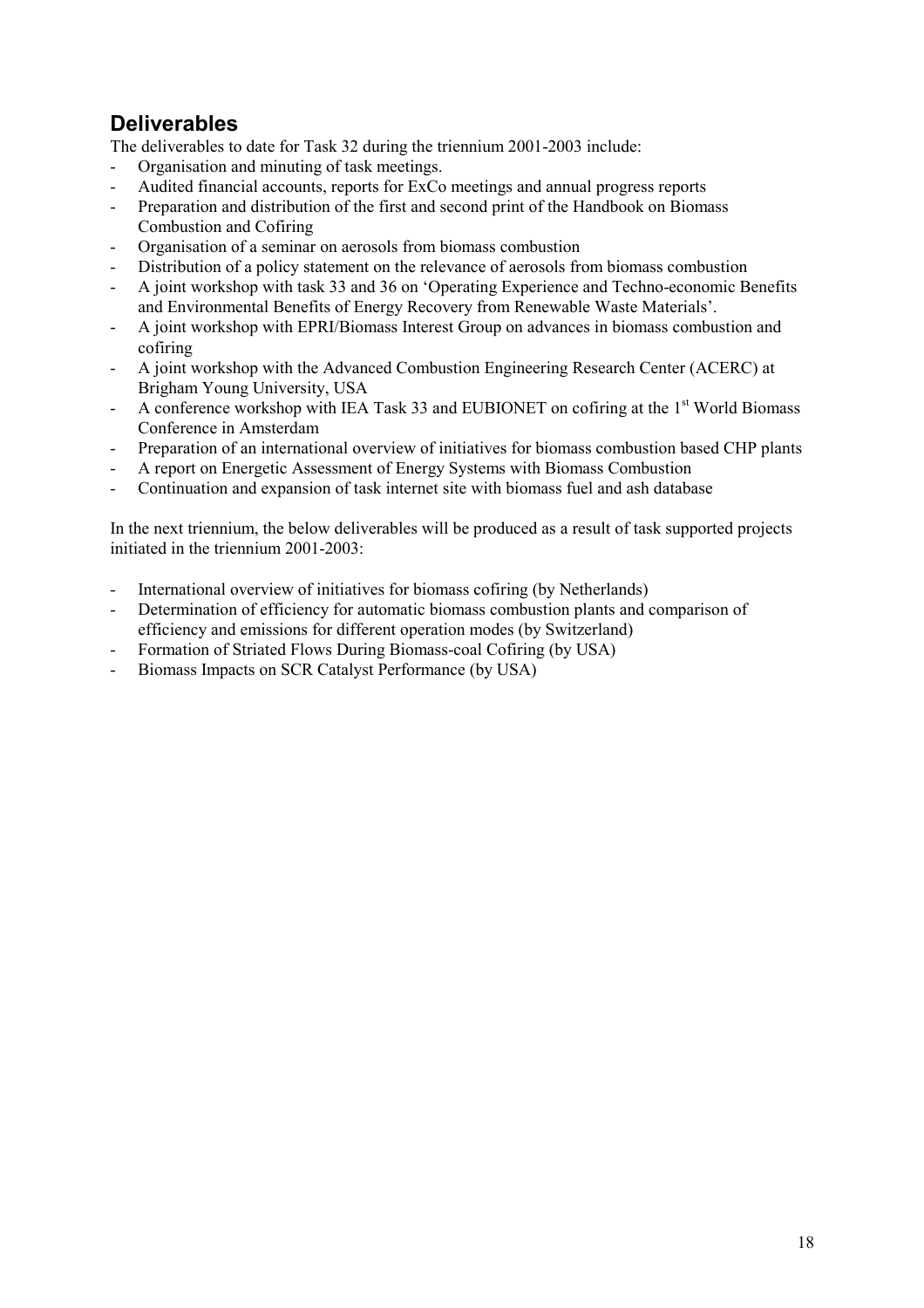# **Deliverables**

The deliverables to date for Task 32 during the triennium 2001-2003 include:

- Organisation and minuting of task meetings.
- Audited financial accounts, reports for ExCo meetings and annual progress reports
- Preparation and distribution of the first and second print of the Handbook on Biomass Combustion and Cofiring
- Organisation of a seminar on aerosols from biomass combustion
- Distribution of a policy statement on the relevance of aerosols from biomass combustion
- A joint workshop with task 33 and 36 on 'Operating Experience and Techno-economic Benefits and Environmental Benefits of Energy Recovery from Renewable Waste Materials'.
- A joint workshop with EPRI/Biomass Interest Group on advances in biomass combustion and cofiring
- A joint workshop with the Advanced Combustion Engineering Research Center (ACERC) at Brigham Young University, USA
- A conference workshop with IEA Task 33 and EUBIONET on cofiring at the 1<sup>st</sup> World Biomass Conference in Amsterdam
- Preparation of an international overview of initiatives for biomass combustion based CHP plants
- A report on Energetic Assessment of Energy Systems with Biomass Combustion
- Continuation and expansion of task internet site with biomass fuel and ash database

In the next triennium, the below deliverables will be produced as a result of task supported projects initiated in the triennium 2001-2003:

- International overview of initiatives for biomass cofiring (by Netherlands)
- Determination of efficiency for automatic biomass combustion plants and comparison of efficiency and emissions for different operation modes (by Switzerland)
- Formation of Striated Flows During Biomass-coal Cofiring (by USA)
- Biomass Impacts on SCR Catalyst Performance (by USA)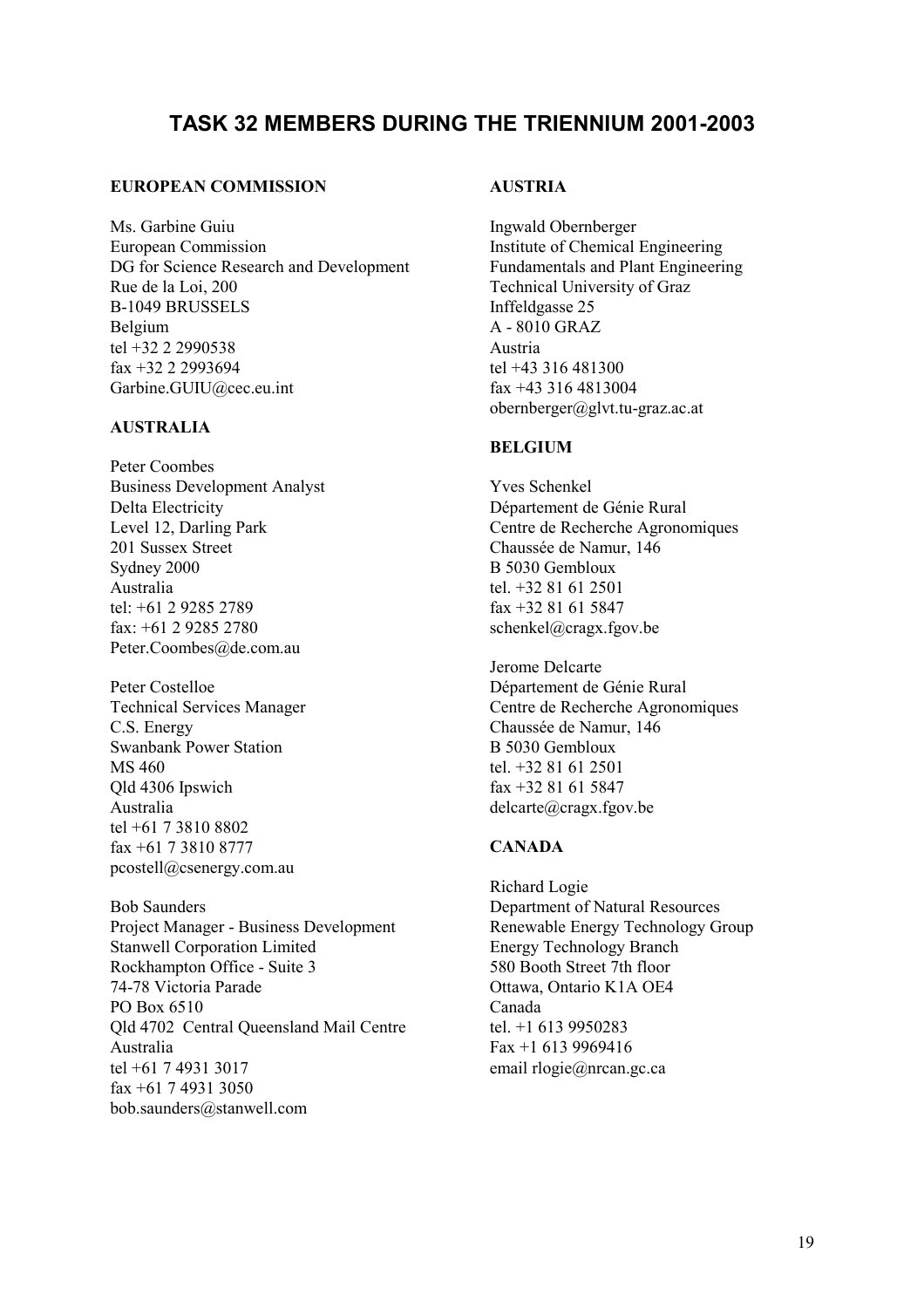## **TASK 32 MEMBERS DURING THE TRIENNIUM 2001-2003**

#### **EUROPEAN COMMISSION**

Ms. Garbine Guiu European Commission DG for Science Research and Development Rue de la Loi, 200 B-1049 BRUSSELS Belgium tel +32 2 2990538 fax +32 2 2993694 Garbine.GUIU@cec.eu.int

### **AUSTRALIA**

Peter Coombes Business Development Analyst Delta Electricity Level 12, Darling Park 201 Sussex Street Sydney 2000 Australia tel: +61 2 9285 2789 fax: +61 2 9285 2780 Peter.Coombes@de.com.au

Peter Costelloe Technical Services Manager C.S. Energy Swanbank Power Station MS 460 Qld 4306 Ipswich Australia tel +61 7 3810 8802 fax +61 7 3810 8777 pcostell@csenergy.com.au

Bob Saunders Project Manager - Business Development Stanwell Corporation Limited Rockhampton Office - Suite 3 74-78 Victoria Parade PO Box 6510 Qld 4702 Central Queensland Mail Centre Australia tel +61 7 4931 3017 fax +61 7 4931 3050 bob.saunders@stanwell.com

### **AUSTRIA**

Ingwald Obernberger Institute of Chemical Engineering Fundamentals and Plant Engineering Technical University of Graz Inffeldgasse 25 A - 8010 GRAZ Austria tel +43 316 481300 fax +43 316 4813004 obernberger@glvt.tu-graz.ac.at

#### **BELGIUM**

Yves Schenkel Département de Génie Rural Centre de Recherche Agronomiques Chaussée de Namur, 146 B 5030 Gembloux tel. +32 81 61 2501 fax +32 81 61 5847 schenkel@cragx.fgov.be

Jerome Delcarte Département de Génie Rural Centre de Recherche Agronomiques Chaussée de Namur, 146 B 5030 Gembloux tel. +32 81 61 2501 fax +32 81 61 5847 delcarte@cragx.fgov.be

### **CANADA**

Richard Logie Department of Natural Resources Renewable Energy Technology Group Energy Technology Branch 580 Booth Street 7th floor Ottawa, Ontario K1A OE4 Canada tel. +1 613 9950283 Fax +1 613 9969416 email rlogie@nrcan.gc.ca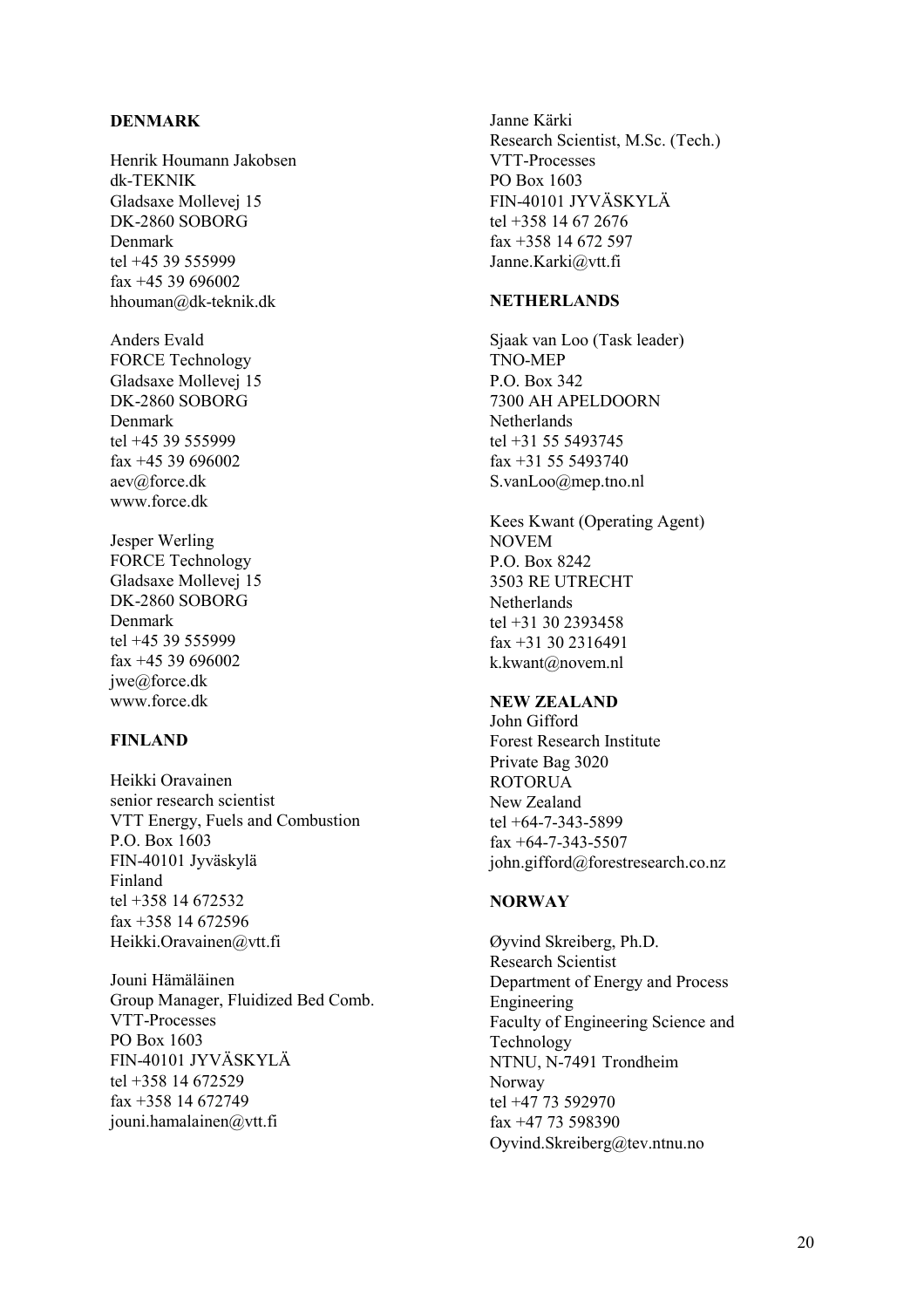#### **DENMARK**

Henrik Houmann Jakobsen dk-TEKNIK Gladsaxe Mollevej 15 DK-2860 SOBORG Denmark tel +45 39 555999 fax +45 39 696002 hhouman@dk-teknik.dk

Anders Evald FORCE Technology Gladsaxe Mollevej 15 DK-2860 SOBORG Denmark tel +45 39 555999 fax +45 39 696002 aev@force.dk www.force.dk

Jesper Werling FORCE Technology Gladsaxe Mollevej 15 DK-2860 SOBORG Denmark tel +45 39 555999 fax +45 39 696002 jwe@force.dk www.force.dk

#### **FINLAND**

Heikki Oravainen senior research scientist VTT Energy, Fuels and Combustion P.O. Box 1603 FIN-40101 Jyväskylä Finland tel +358 14 672532 fax +358 14 672596 Heikki.Oravainen@vtt.fi

Jouni Hämäläinen Group Manager, Fluidized Bed Comb. VTT-Processes PO Box 1603 FIN-40101 JYVÄSKYLÄ tel +358 14 672529 fax +358 14 672749 jouni.hamalainen@vtt.fi

Janne Kärki Research Scientist, M.Sc. (Tech.) VTT-Processes PO Box 1603 FIN-40101 JYVÄSKYLÄ tel +358 14 67 2676 fax +358 14 672 597 Janne.Karki@vtt.fi

#### **NETHERLANDS**

Sjaak van Loo (Task leader) TNO-MEP P.O. Box 342 7300 AH APELDOORN **Netherlands** tel +31 55 5493745 fax +31 55 5493740 S.vanLoo@mep.tno.nl

Kees Kwant (Operating Agent) NOVEM P.O. Box 8242 3503 RE UTRECHT Netherlands tel +31 30 2393458 fax +31 30 2316491 k.kwant@novem.nl

#### **NEW ZEALAND**

John Gifford Forest Research Institute Private Bag 3020 ROTORUA New Zealand tel +64-7-343-5899 fax +64-7-343-5507 john.gifford@forestresearch.co.nz

#### **NORWAY**

Øyvind Skreiberg, Ph.D. Research Scientist Department of Energy and Process Engineering Faculty of Engineering Science and Technology NTNU, N-7491 Trondheim Norway tel +47 73 592970 fax +47 73 598390 Oyvind.Skreiberg@tev.ntnu.no